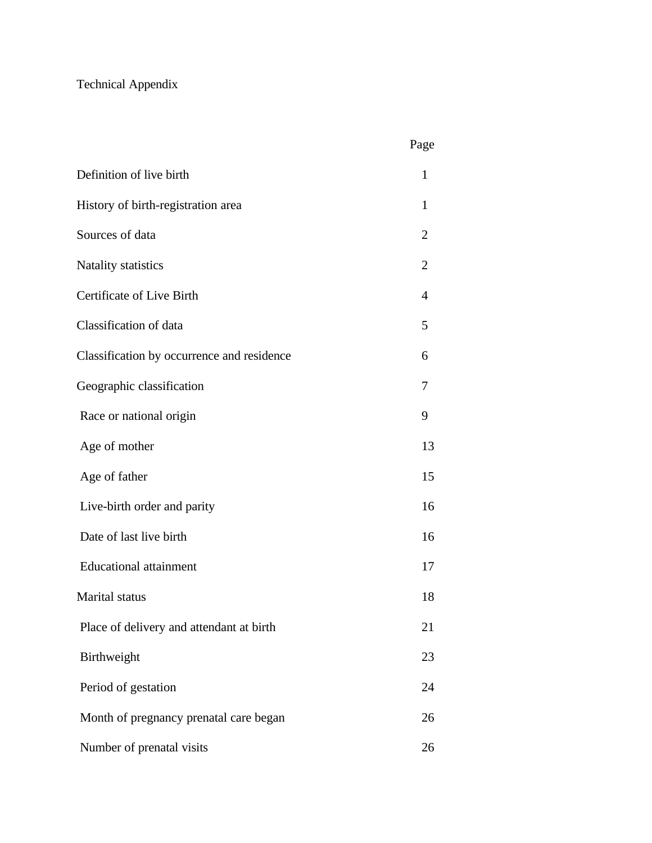# Technical Appendix

| Definition of live birth                   | 1            |
|--------------------------------------------|--------------|
| History of birth-registration area         | $\mathbf{1}$ |
| Sources of data                            | 2            |
| <b>Natality statistics</b>                 | 2            |
| Certificate of Live Birth                  | 4            |
| Classification of data                     | 5            |
| Classification by occurrence and residence | 6            |
| Geographic classification                  | 7            |
| Race or national origin                    | 9            |
| Age of mother                              | 13           |
| Age of father                              | 15           |
| Live-birth order and parity                | 16           |
| Date of last live birth                    | 16           |
| <b>Educational attainment</b>              | 17           |
| Marital status                             | 18           |
| Place of delivery and attendant at birth   | 21           |
| Birthweight                                | 23           |
| Period of gestation                        | 24           |
| Month of pregnancy prenatal care began     | 26           |
| Number of prenatal visits                  | 26           |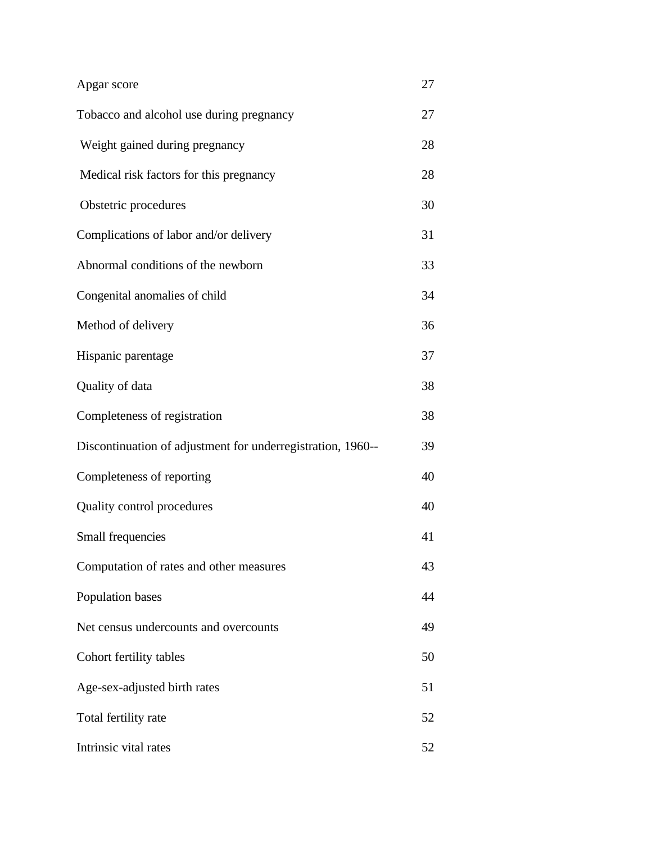# Apgar score 27

- Tobacco and alcohol use during pregnancy 27
- Weight gained during pregnancy 28
- Medical risk factors for this pregnancy 28
- Obstetric procedures 30
- Complications of labor and/or delivery 31
- Abnormal conditions of the newborn 33
- Congenital anomalies of child 34
- Method of delivery 36
- Hispanic parentage 37 Quality of data 38
- Completeness of registration 38
- Discontinuation of adjustment for underregistration, 1960-- 39 Completeness of reporting 40
- Quality control procedures 40
- Small frequencies 41
- Computation of rates and other measures 43
- Population bases 44 Net census undercounts and overcounts 49
- Cohort fertility tables 50
- Age-sex-adjusted birth rates 51
- Total fertility rate 52 Intrinsic vital rates 52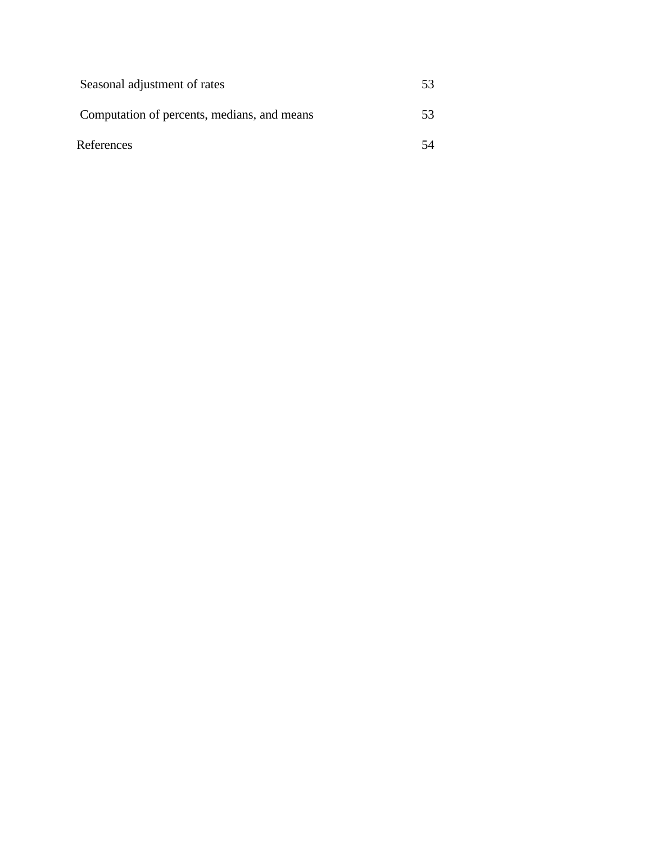| Seasonal adjustment of rates                | 53 |
|---------------------------------------------|----|
| Computation of percents, medians, and means | 53 |
| References                                  | 54 |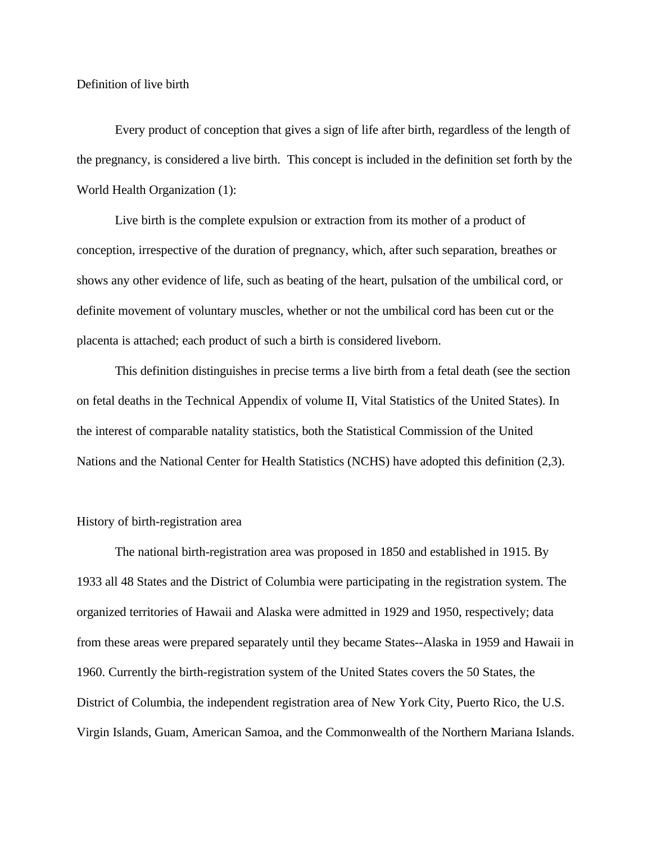Definition of live birth

Every product of conception that gives a sign of life after birth, regardless of the length of the pregnancy, is considered a live birth. This concept is included in the definition set forth by the World Health Organization (1):

Live birth is the complete expulsion or extraction from its mother of a product of conception, irrespective of the duration of pregnancy, which, after such separation, breathes or shows any other evidence of life, such as beating of the heart, pulsation of the umbilical cord, or definite movement of voluntary muscles, whether or not the umbilical cord has been cut or the placenta is attached; each product of such a birth is considered liveborn.

This definition distinguishes in precise terms a live birth from a fetal death (see the section on fetal deaths in the Technical Appendix of volume II, Vital Statistics of the United States). In the interest of comparable natality statistics, both the Statistical Commission of the United Nations and the National Center for Health Statistics (NCHS) have adopted this definition (2,3).

# History of birth-registration area

The national birth-registration area was proposed in 1850 and established in 1915. By 1933 all 48 States and the District of Columbia were participating in the registration system. The organized territories of Hawaii and Alaska were admitted in 1929 and 1950, respectively; data from these areas were prepared separately until they became States--Alaska in 1959 and Hawaii in 1960. Currently the birth-registration system of the United States covers the 50 States, the District of Columbia, the independent registration area of New York City, Puerto Rico, the U.S. Virgin Islands, Guam, American Samoa, and the Commonwealth of the Northern Mariana Islands.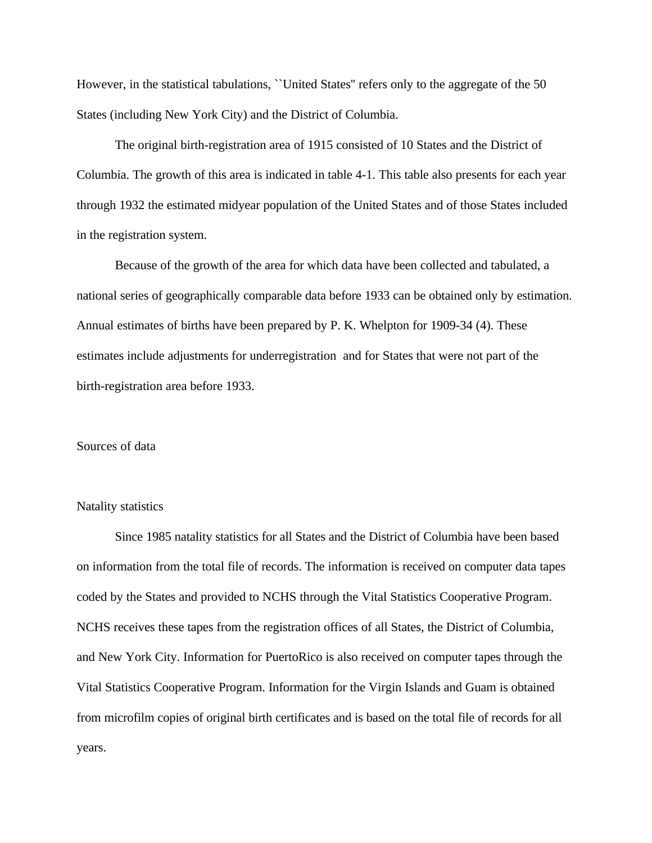However, in the statistical tabulations, "United States" refers only to the aggregate of the 50 States (including New York City) and the District of Columbia.

The original birth-registration area of 1915 consisted of 10 States and the District of Columbia. The growth of this area is indicated in table 4-1. This table also presents for each year through 1932 the estimated midyear population of the United States and of those States included in the registration system.

Because of the growth of the area for which data have been collected and tabulated, a national series of geographically comparable data before 1933 can be obtained only by estimation. Annual estimates of births have been prepared by P. K. Whelpton for 1909-34 (4). These estimates include adjustments for underregistration and for States that were not part of the birth-registration area before 1933.

# Sources of data

## Natality statistics

Since 1985 natality statistics for all States and the District of Columbia have been based on information from the total file of records. The information is received on computer data tapes coded by the States and provided to NCHS through the Vital Statistics Cooperative Program. NCHS receives these tapes from the registration offices of all States, the District of Columbia, and New York City. Information for PuertoRico is also received on computer tapes through the Vital Statistics Cooperative Program. Information for the Virgin Islands and Guam is obtained from microfilm copies of original birth certificates and is based on the total file of records for all years.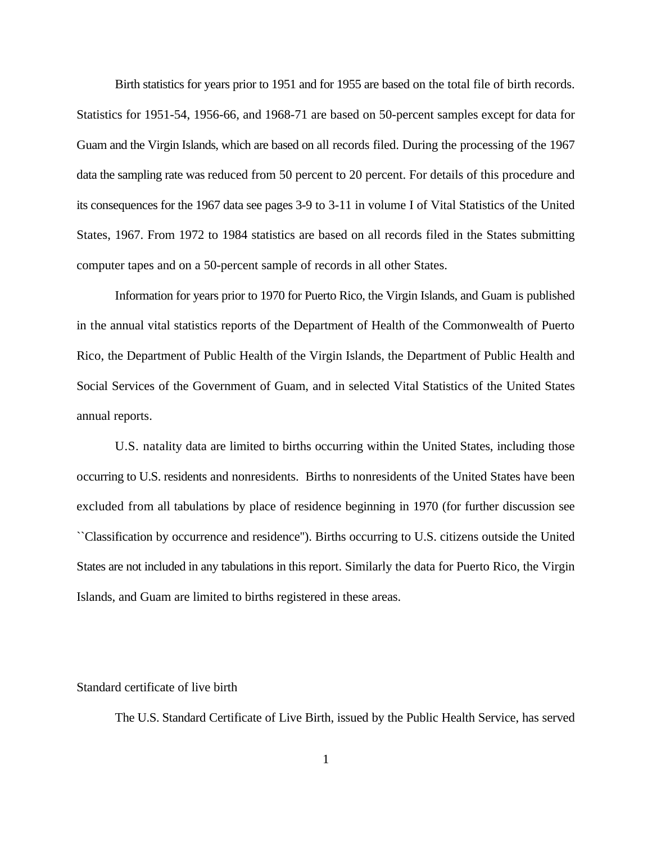Birth statistics for years prior to 1951 and for 1955 are based on the total file of birth records. Statistics for 1951-54, 1956-66, and 1968-71 are based on 50-percent samples except for data for Guam and the Virgin Islands, which are based on all records filed. During the processing of the 1967 data the sampling rate was reduced from 50 percent to 20 percent. For details of this procedure and its consequences for the 1967 data see pages 3-9 to 3-11 in volume I of Vital Statistics of the United States, 1967. From 1972 to 1984 statistics are based on all records filed in the States submitting computer tapes and on a 50-percent sample of records in all other States.

Information for years prior to 1970 for Puerto Rico, the Virgin Islands, and Guam is published in the annual vital statistics reports of the Department of Health of the Commonwealth of Puerto Rico, the Department of Public Health of the Virgin Islands, the Department of Public Health and Social Services of the Government of Guam, and in selected Vital Statistics of the United States annual reports.

U.S. natality data are limited to births occurring within the United States, including those occurring to U.S. residents and nonresidents. Births to nonresidents of the United States have been excluded from all tabulations by place of residence beginning in 1970 (for further discussion see ``Classification by occurrence and residence''). Births occurring to U.S. citizens outside the United States are not included in any tabulations in this report. Similarly the data for Puerto Rico, the Virgin Islands, and Guam are limited to births registered in these areas.

## Standard certificate of live birth

The U.S. Standard Certificate of Live Birth, issued by the Public Health Service, has served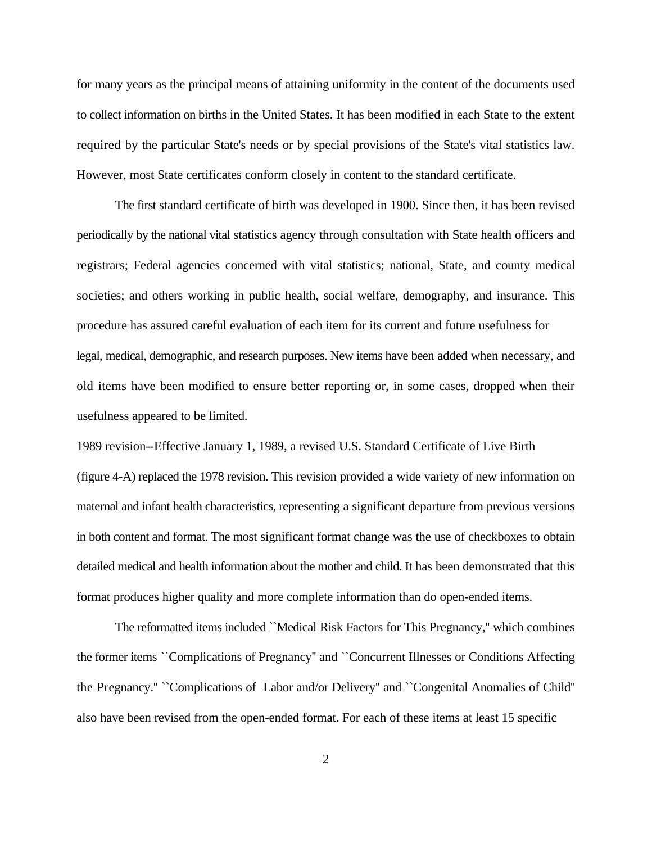for many years as the principal means of attaining uniformity in the content of the documents used to collect information on births in the United States. It has been modified in each State to the extent required by the particular State's needs or by special provisions of the State's vital statistics law. However, most State certificates conform closely in content to the standard certificate.

The first standard certificate of birth was developed in 1900. Since then, it has been revised periodically by the national vital statistics agency through consultation with State health officers and registrars; Federal agencies concerned with vital statistics; national, State, and county medical societies; and others working in public health, social welfare, demography, and insurance. This procedure has assured careful evaluation of each item for its current and future usefulness for legal, medical, demographic, and research purposes. New items have been added when necessary, and old items have been modified to ensure better reporting or, in some cases, dropped when their usefulness appeared to be limited.

1989 revision--Effective January 1, 1989, a revised U.S. Standard Certificate of Live Birth (figure 4-A) replaced the 1978 revision. This revision provided a wide variety of new information on maternal and infant health characteristics, representing a significant departure from previous versions in both content and format. The most significant format change was the use of checkboxes to obtain detailed medical and health information about the mother and child. It has been demonstrated that this format produces higher quality and more complete information than do open-ended items.

The reformatted items included ``Medical Risk Factors for This Pregnancy,'' which combines the former items ``Complications of Pregnancy'' and ``Concurrent Illnesses or Conditions Affecting the Pregnancy.'' ``Complications of Labor and/or Delivery'' and ``Congenital Anomalies of Child'' also have been revised from the open-ended format. For each of these items at least 15 specific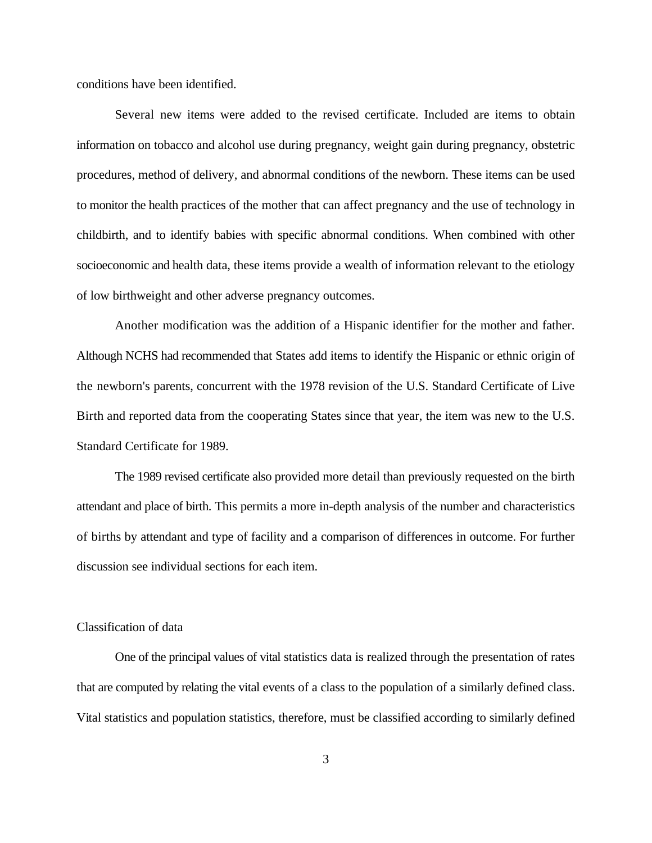conditions have been identified.

Several new items were added to the revised certificate. Included are items to obtain information on tobacco and alcohol use during pregnancy, weight gain during pregnancy, obstetric procedures, method of delivery, and abnormal conditions of the newborn. These items can be used to monitor the health practices of the mother that can affect pregnancy and the use of technology in childbirth, and to identify babies with specific abnormal conditions. When combined with other socioeconomic and health data, these items provide a wealth of information relevant to the etiology of low birthweight and other adverse pregnancy outcomes.

Another modification was the addition of a Hispanic identifier for the mother and father. Although NCHS had recommended that States add items to identify the Hispanic or ethnic origin of the newborn's parents, concurrent with the 1978 revision of the U.S. Standard Certificate of Live Birth and reported data from the cooperating States since that year, the item was new to the U.S. Standard Certificate for 1989.

The 1989 revised certificate also provided more detail than previously requested on the birth attendant and place of birth. This permits a more in-depth analysis of the number and characteristics of births by attendant and type of facility and a comparison of differences in outcome. For further discussion see individual sections for each item.

# Classification of data

One of the principal values of vital statistics data is realized through the presentation of rates that are computed by relating the vital events of a class to the population of a similarly defined class. Vital statistics and population statistics, therefore, must be classified according to similarly defined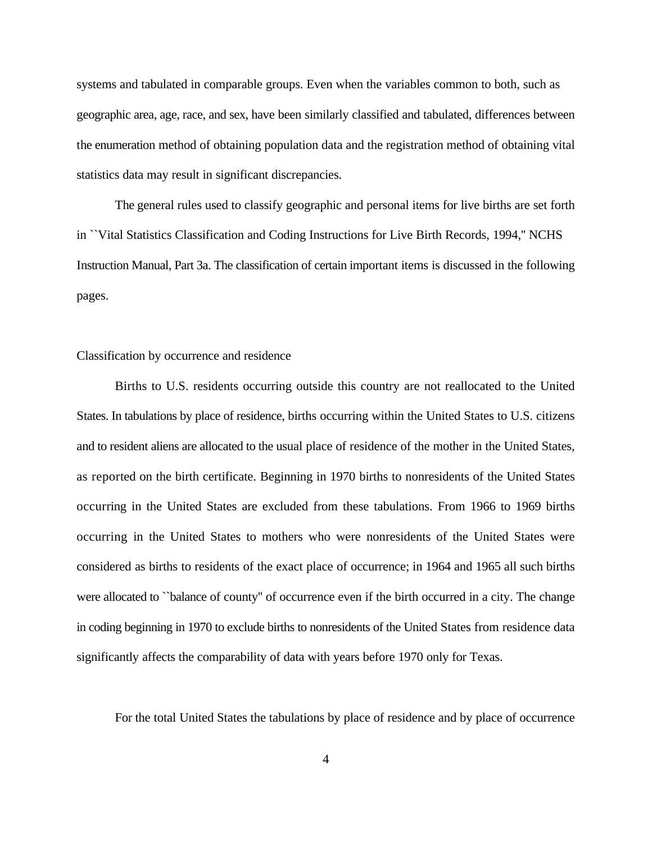systems and tabulated in comparable groups. Even when the variables common to both, such as geographic area, age, race, and sex, have been similarly classified and tabulated, differences between the enumeration method of obtaining population data and the registration method of obtaining vital statistics data may result in significant discrepancies.

The general rules used to classify geographic and personal items for live births are set forth in ``Vital Statistics Classification and Coding Instructions for Live Birth Records, 1994,'' NCHS Instruction Manual, Part 3a. The classification of certain important items is discussed in the following pages.

#### Classification by occurrence and residence

Births to U.S. residents occurring outside this country are not reallocated to the United States. In tabulations by place of residence, births occurring within the United States to U.S. citizens and to resident aliens are allocated to the usual place of residence of the mother in the United States, as reported on the birth certificate. Beginning in 1970 births to nonresidents of the United States occurring in the United States are excluded from these tabulations. From 1966 to 1969 births occurring in the United States to mothers who were nonresidents of the United States were considered as births to residents of the exact place of occurrence; in 1964 and 1965 all such births were allocated to "balance of county" of occurrence even if the birth occurred in a city. The change in coding beginning in 1970 to exclude births to nonresidents of the United States from residence data significantly affects the comparability of data with years before 1970 only for Texas.

For the total United States the tabulations by place of residence and by place of occurrence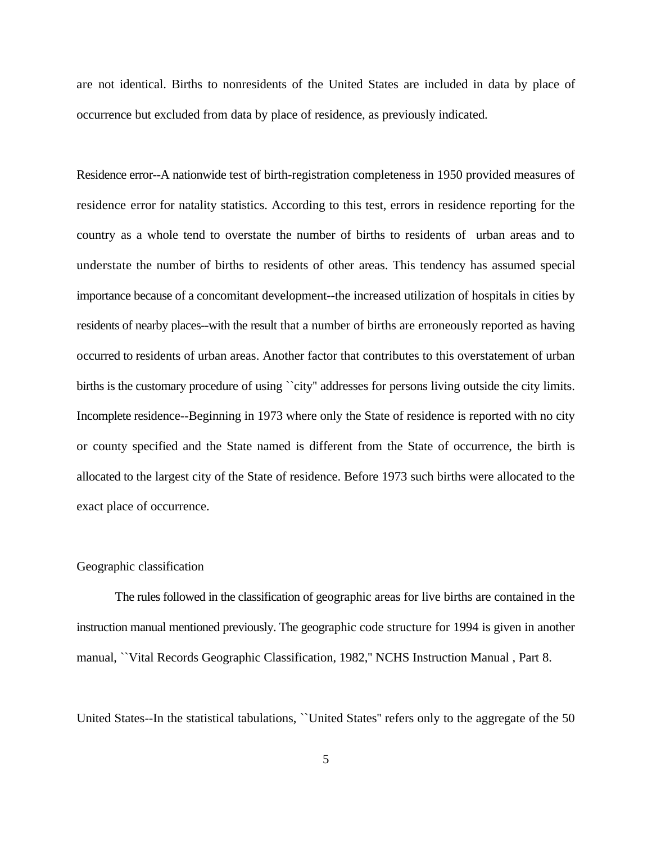are not identical. Births to nonresidents of the United States are included in data by place of occurrence but excluded from data by place of residence, as previously indicated.

Residence error--A nationwide test of birth-registration completeness in 1950 provided measures of residence error for natality statistics. According to this test, errors in residence reporting for the country as a whole tend to overstate the number of births to residents of urban areas and to understate the number of births to residents of other areas. This tendency has assumed special importance because of a concomitant development--the increased utilization of hospitals in cities by residents of nearby places--with the result that a number of births are erroneously reported as having occurred to residents of urban areas. Another factor that contributes to this overstatement of urban births is the customary procedure of using ``city'' addresses for persons living outside the city limits. Incomplete residence--Beginning in 1973 where only the State of residence is reported with no city or county specified and the State named is different from the State of occurrence, the birth is allocated to the largest city of the State of residence. Before 1973 such births were allocated to the exact place of occurrence.

# Geographic classification

The rules followed in the classification of geographic areas for live births are contained in the instruction manual mentioned previously. The geographic code structure for 1994 is given in another manual, ``Vital Records Geographic Classification, 1982,'' NCHS Instruction Manual , Part 8.

United States--In the statistical tabulations, ``United States'' refers only to the aggregate of the 50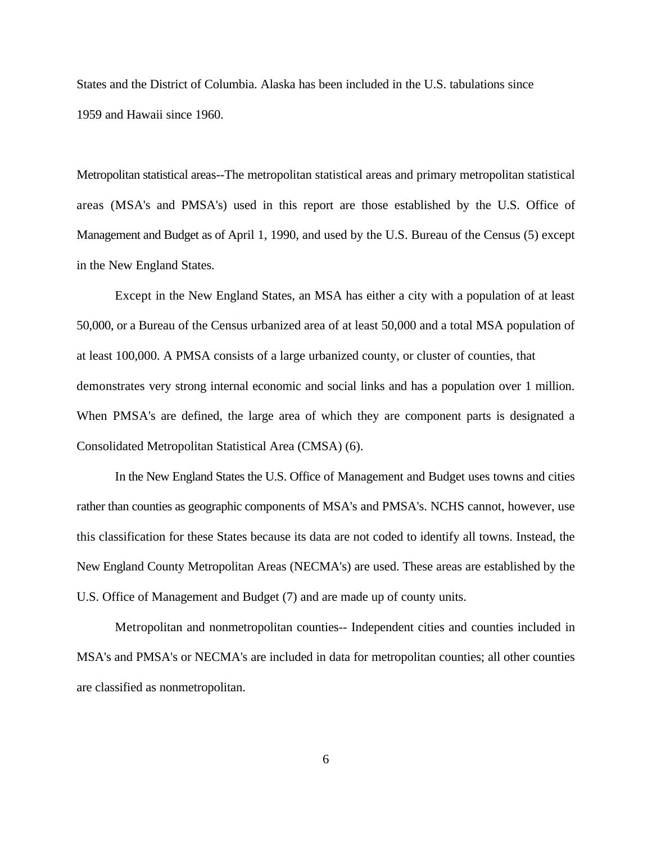States and the District of Columbia. Alaska has been included in the U.S. tabulations since 1959 and Hawaii since 1960.

Metropolitan statistical areas--The metropolitan statistical areas and primary metropolitan statistical areas (MSA's and PMSA's) used in this report are those established by the U.S. Office of Management and Budget as of April 1, 1990, and used by the U.S. Bureau of the Census (5) except in the New England States.

Except in the New England States, an MSA has either a city with a population of at least 50,000, or a Bureau of the Census urbanized area of at least 50,000 and a total MSA population of at least 100,000. A PMSA consists of a large urbanized county, or cluster of counties, that demonstrates very strong internal economic and social links and has a population over 1 million. When PMSA's are defined, the large area of which they are component parts is designated a Consolidated Metropolitan Statistical Area (CMSA) (6).

In the New England States the U.S. Office of Management and Budget uses towns and cities rather than counties as geographic components of MSA's and PMSA's. NCHS cannot, however, use this classification for these States because its data are not coded to identify all towns. Instead, the New England County Metropolitan Areas (NECMA's) are used. These areas are established by the U.S. Office of Management and Budget (7) and are made up of county units.

Metropolitan and nonmetropolitan counties-- Independent cities and counties included in MSA's and PMSA's or NECMA's are included in data for metropolitan counties; all other counties are classified as nonmetropolitan.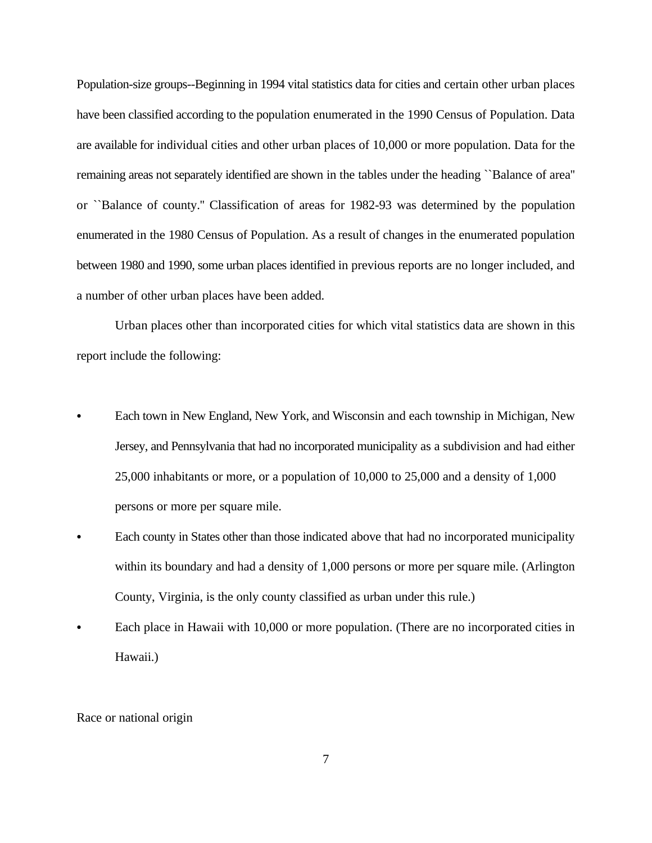Population-size groups--Beginning in 1994 vital statistics data for cities and certain other urban places have been classified according to the population enumerated in the 1990 Census of Population. Data are available for individual cities and other urban places of 10,000 or more population. Data for the remaining areas not separately identified are shown in the tables under the heading ``Balance of area'' or ``Balance of county.'' Classification of areas for 1982-93 was determined by the population enumerated in the 1980 Census of Population. As a result of changes in the enumerated population between 1980 and 1990, some urban places identified in previous reports are no longer included, and a number of other urban places have been added.

Urban places other than incorporated cities for which vital statistics data are shown in this report include the following:

- Each town in New England, New York, and Wisconsin and each township in Michigan, New Jersey, and Pennsylvania that had no incorporated municipality as a subdivision and had either 25,000 inhabitants or more, or a population of 10,000 to 25,000 and a density of 1,000 persons or more per square mile.
- Each county in States other than those indicated above that had no incorporated municipality within its boundary and had a density of 1,000 persons or more per square mile. (Arlington County, Virginia, is the only county classified as urban under this rule.)
- Each place in Hawaii with 10,000 or more population. (There are no incorporated cities in Hawaii.)

# Race or national origin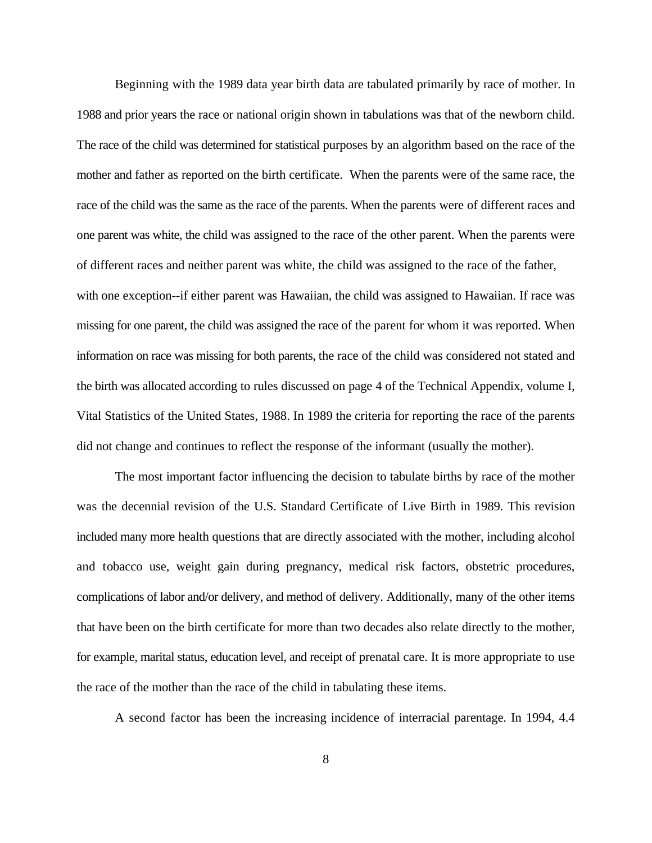Beginning with the 1989 data year birth data are tabulated primarily by race of mother. In 1988 and prior years the race or national origin shown in tabulations was that of the newborn child. The race of the child was determined for statistical purposes by an algorithm based on the race of the mother and father as reported on the birth certificate. When the parents were of the same race, the race of the child was the same as the race of the parents. When the parents were of different races and one parent was white, the child was assigned to the race of the other parent. When the parents were of different races and neither parent was white, the child was assigned to the race of the father, with one exception--if either parent was Hawaiian, the child was assigned to Hawaiian. If race was missing for one parent, the child was assigned the race of the parent for whom it was reported. When information on race was missing for both parents, the race of the child was considered not stated and the birth was allocated according to rules discussed on page 4 of the Technical Appendix, volume I, Vital Statistics of the United States, 1988. In 1989 the criteria for reporting the race of the parents did not change and continues to reflect the response of the informant (usually the mother).

The most important factor influencing the decision to tabulate births by race of the mother was the decennial revision of the U.S. Standard Certificate of Live Birth in 1989. This revision included many more health questions that are directly associated with the mother, including alcohol and tobacco use, weight gain during pregnancy, medical risk factors, obstetric procedures, complications of labor and/or delivery, and method of delivery. Additionally, many of the other items that have been on the birth certificate for more than two decades also relate directly to the mother, for example, marital status, education level, and receipt of prenatal care. It is more appropriate to use the race of the mother than the race of the child in tabulating these items.

A second factor has been the increasing incidence of interracial parentage. In 1994, 4.4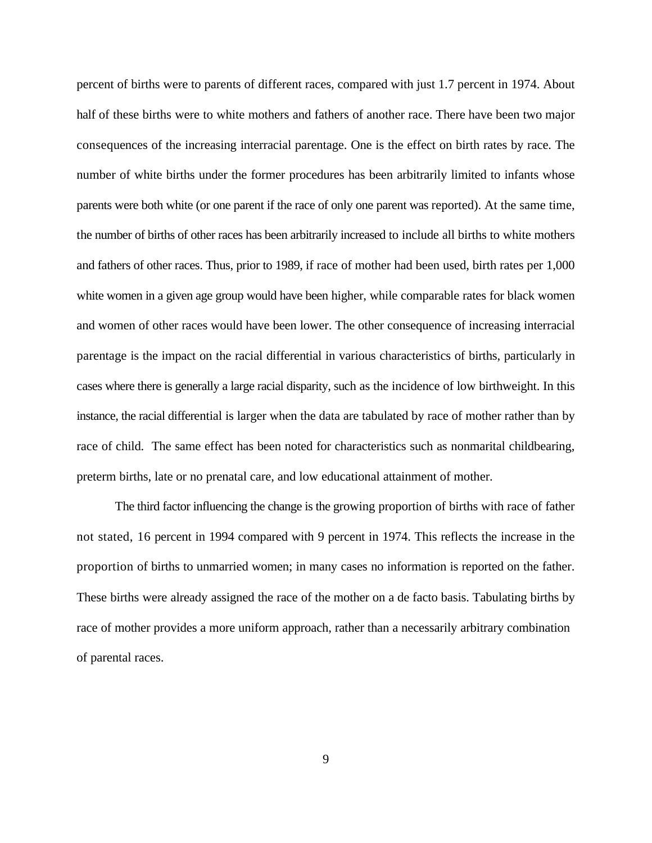percent of births were to parents of different races, compared with just 1.7 percent in 1974. About half of these births were to white mothers and fathers of another race. There have been two major consequences of the increasing interracial parentage. One is the effect on birth rates by race. The number of white births under the former procedures has been arbitrarily limited to infants whose parents were both white (or one parent if the race of only one parent was reported). At the same time, the number of births of other races has been arbitrarily increased to include all births to white mothers and fathers of other races. Thus, prior to 1989, if race of mother had been used, birth rates per 1,000 white women in a given age group would have been higher, while comparable rates for black women and women of other races would have been lower. The other consequence of increasing interracial parentage is the impact on the racial differential in various characteristics of births, particularly in cases where there is generally a large racial disparity, such as the incidence of low birthweight. In this instance, the racial differential is larger when the data are tabulated by race of mother rather than by race of child. The same effect has been noted for characteristics such as nonmarital childbearing, preterm births, late or no prenatal care, and low educational attainment of mother.

The third factor influencing the change is the growing proportion of births with race of father not stated, 16 percent in 1994 compared with 9 percent in 1974. This reflects the increase in the proportion of births to unmarried women; in many cases no information is reported on the father. These births were already assigned the race of the mother on a de facto basis. Tabulating births by race of mother provides a more uniform approach, rather than a necessarily arbitrary combination of parental races.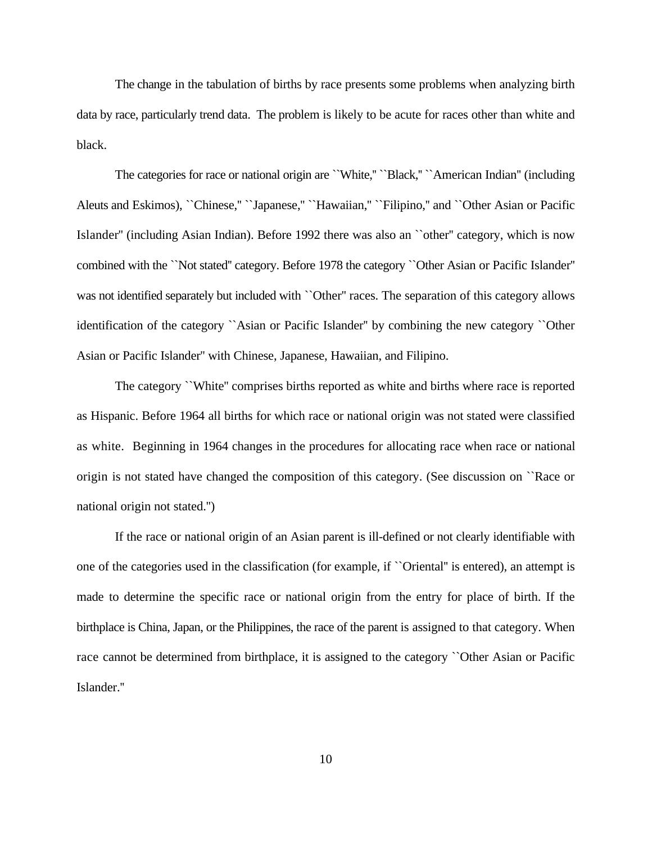The change in the tabulation of births by race presents some problems when analyzing birth data by race, particularly trend data. The problem is likely to be acute for races other than white and black.

The categories for race or national origin are "White," "Black," "American Indian" (including Aleuts and Eskimos), ``Chinese,'' ``Japanese,'' ``Hawaiian,'' ``Filipino,'' and ``Other Asian or Pacific Islander'' (including Asian Indian). Before 1992 there was also an ``other'' category, which is now combined with the ``Not stated'' category. Before 1978 the category ``Other Asian or Pacific Islander'' was not identified separately but included with ``Other'' races. The separation of this category allows identification of the category ``Asian or Pacific Islander'' by combining the new category ``Other Asian or Pacific Islander'' with Chinese, Japanese, Hawaiian, and Filipino.

The category ``White'' comprises births reported as white and births where race is reported as Hispanic. Before 1964 all births for which race or national origin was not stated were classified as white. Beginning in 1964 changes in the procedures for allocating race when race or national origin is not stated have changed the composition of this category. (See discussion on ``Race or national origin not stated.'')

If the race or national origin of an Asian parent is ill-defined or not clearly identifiable with one of the categories used in the classification (for example, if ``Oriental'' is entered), an attempt is made to determine the specific race or national origin from the entry for place of birth. If the birthplace is China, Japan, or the Philippines, the race of the parent is assigned to that category. When race cannot be determined from birthplace, it is assigned to the category ``Other Asian or Pacific Islander.''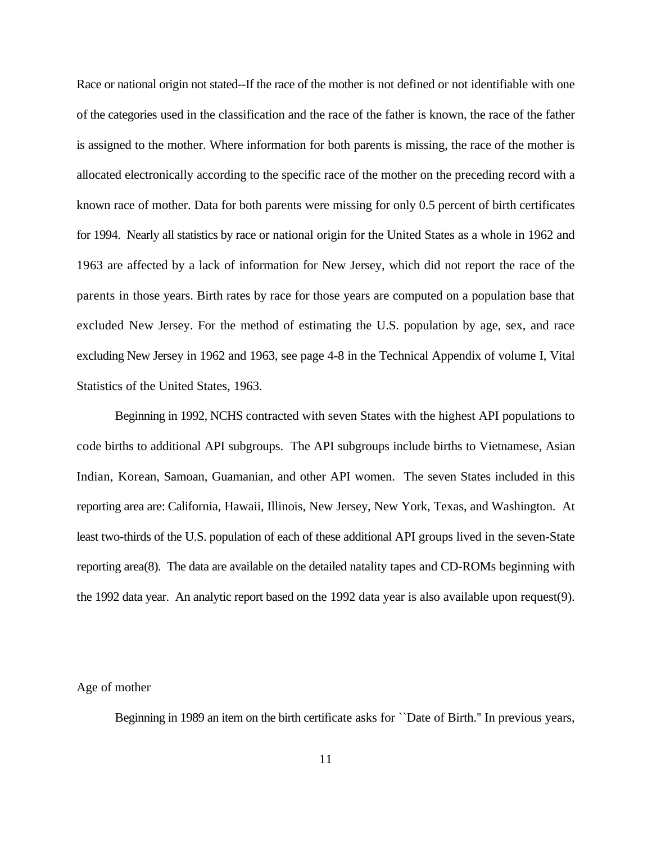Race or national origin not stated--If the race of the mother is not defined or not identifiable with one of the categories used in the classification and the race of the father is known, the race of the father is assigned to the mother. Where information for both parents is missing, the race of the mother is allocated electronically according to the specific race of the mother on the preceding record with a known race of mother. Data for both parents were missing for only 0.5 percent of birth certificates for 1994. Nearly all statistics by race or national origin for the United States as a whole in 1962 and 1963 are affected by a lack of information for New Jersey, which did not report the race of the parents in those years. Birth rates by race for those years are computed on a population base that excluded New Jersey. For the method of estimating the U.S. population by age, sex, and race excluding New Jersey in 1962 and 1963, see page 4-8 in the Technical Appendix of volume I, Vital Statistics of the United States, 1963.

Beginning in 1992, NCHS contracted with seven States with the highest API populations to code births to additional API subgroups. The API subgroups include births to Vietnamese, Asian Indian, Korean, Samoan, Guamanian, and other API women. The seven States included in this reporting area are: California, Hawaii, Illinois, New Jersey, New York, Texas, and Washington. At least two-thirds of the U.S. population of each of these additional API groups lived in the seven-State reporting area(8). The data are available on the detailed natality tapes and CD-ROMs beginning with the 1992 data year. An analytic report based on the 1992 data year is also available upon request(9).

# Age of mother

Beginning in 1989 an item on the birth certificate asks for ``Date of Birth.'' In previous years,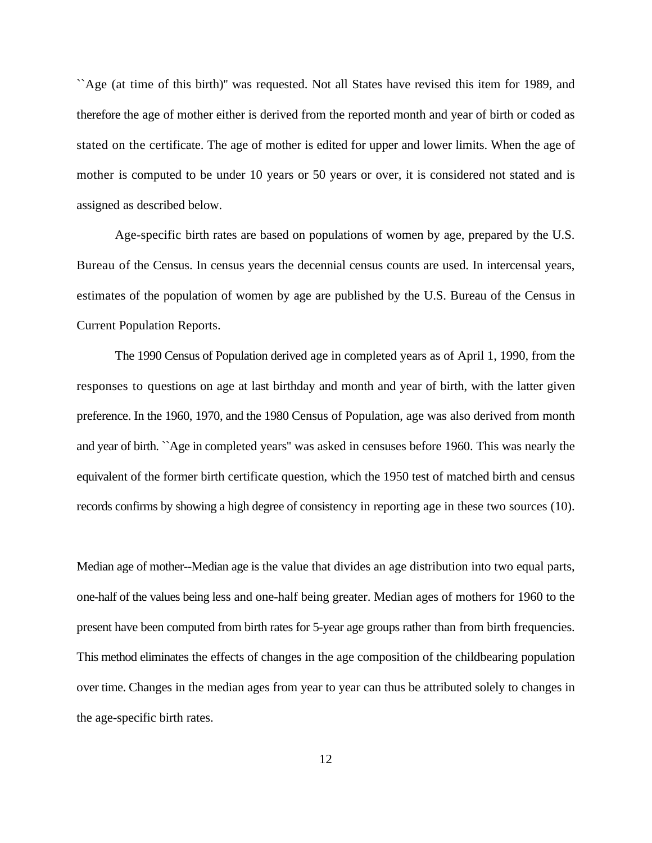``Age (at time of this birth)'' was requested. Not all States have revised this item for 1989, and therefore the age of mother either is derived from the reported month and year of birth or coded as stated on the certificate. The age of mother is edited for upper and lower limits. When the age of mother is computed to be under 10 years or 50 years or over, it is considered not stated and is assigned as described below.

Age-specific birth rates are based on populations of women by age, prepared by the U.S. Bureau of the Census. In census years the decennial census counts are used. In intercensal years, estimates of the population of women by age are published by the U.S. Bureau of the Census in Current Population Reports.

The 1990 Census of Population derived age in completed years as of April 1, 1990, from the responses to questions on age at last birthday and month and year of birth, with the latter given preference. In the 1960, 1970, and the 1980 Census of Population, age was also derived from month and year of birth. ``Age in completed years'' was asked in censuses before 1960. This was nearly the equivalent of the former birth certificate question, which the 1950 test of matched birth and census records confirms by showing a high degree of consistency in reporting age in these two sources (10).

Median age of mother--Median age is the value that divides an age distribution into two equal parts, one-half of the values being less and one-half being greater. Median ages of mothers for 1960 to the present have been computed from birth rates for 5-year age groups rather than from birth frequencies. This method eliminates the effects of changes in the age composition of the childbearing population over time. Changes in the median ages from year to year can thus be attributed solely to changes in the age-specific birth rates.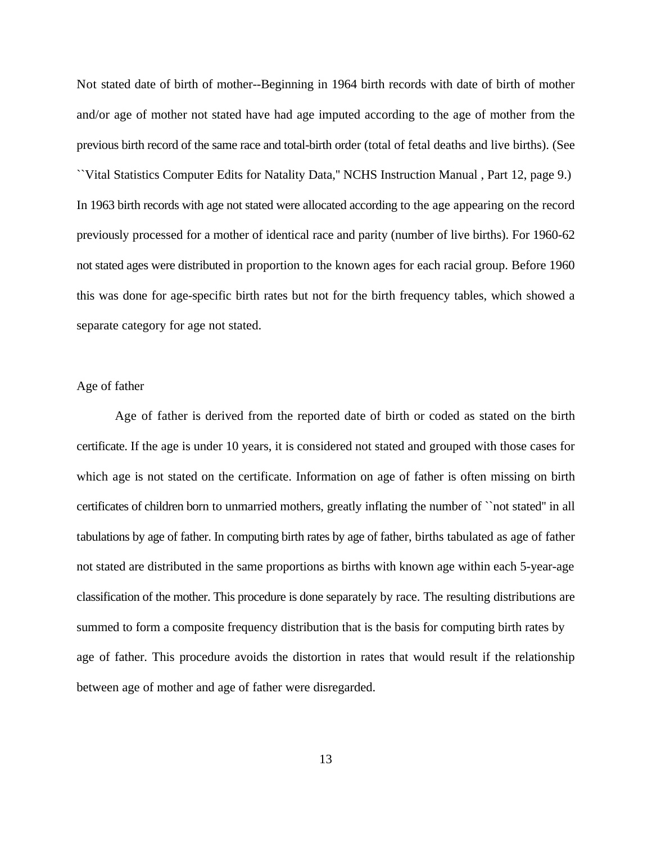Not stated date of birth of mother--Beginning in 1964 birth records with date of birth of mother and/or age of mother not stated have had age imputed according to the age of mother from the previous birth record of the same race and total-birth order (total of fetal deaths and live births). (See ``Vital Statistics Computer Edits for Natality Data,'' NCHS Instruction Manual , Part 12, page 9.) In 1963 birth records with age not stated were allocated according to the age appearing on the record previously processed for a mother of identical race and parity (number of live births). For 1960-62 not stated ages were distributed in proportion to the known ages for each racial group. Before 1960 this was done for age-specific birth rates but not for the birth frequency tables, which showed a separate category for age not stated.

# Age of father

Age of father is derived from the reported date of birth or coded as stated on the birth certificate. If the age is under 10 years, it is considered not stated and grouped with those cases for which age is not stated on the certificate. Information on age of father is often missing on birth certificates of children born to unmarried mothers, greatly inflating the number of ``not stated'' in all tabulations by age of father. In computing birth rates by age of father, births tabulated as age of father not stated are distributed in the same proportions as births with known age within each 5-year-age classification of the mother. This procedure is done separately by race. The resulting distributions are summed to form a composite frequency distribution that is the basis for computing birth rates by age of father. This procedure avoids the distortion in rates that would result if the relationship between age of mother and age of father were disregarded.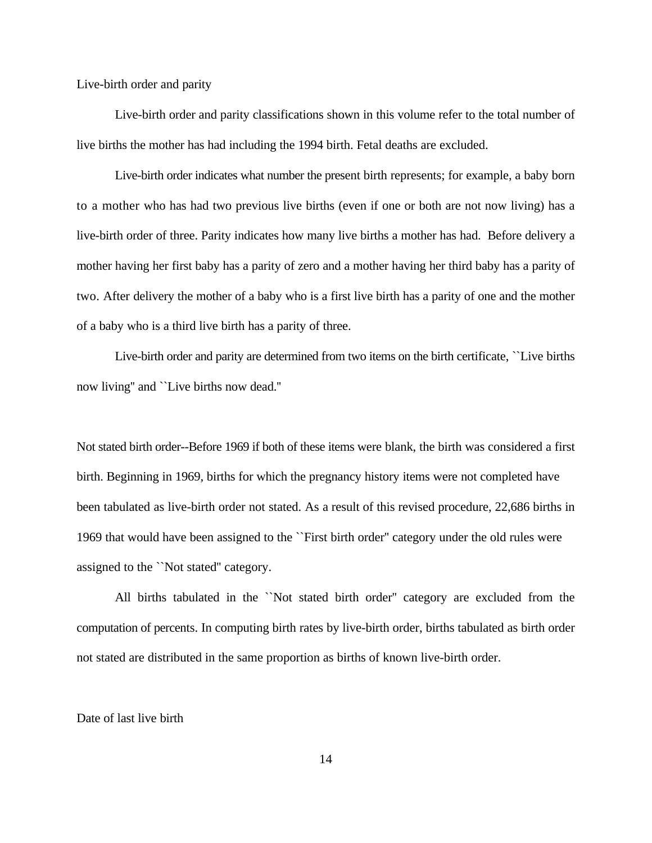Live-birth order and parity

Live-birth order and parity classifications shown in this volume refer to the total number of live births the mother has had including the 1994 birth. Fetal deaths are excluded.

Live-birth order indicates what number the present birth represents; for example, a baby born to a mother who has had two previous live births (even if one or both are not now living) has a live-birth order of three. Parity indicates how many live births a mother has had. Before delivery a mother having her first baby has a parity of zero and a mother having her third baby has a parity of two. After delivery the mother of a baby who is a first live birth has a parity of one and the mother of a baby who is a third live birth has a parity of three.

Live-birth order and parity are determined from two items on the birth certificate, ``Live births now living'' and ``Live births now dead.''

Not stated birth order--Before 1969 if both of these items were blank, the birth was considered a first birth. Beginning in 1969, births for which the pregnancy history items were not completed have been tabulated as live-birth order not stated. As a result of this revised procedure, 22,686 births in 1969 that would have been assigned to the ``First birth order'' category under the old rules were assigned to the ``Not stated'' category.

All births tabulated in the ``Not stated birth order'' category are excluded from the computation of percents. In computing birth rates by live-birth order, births tabulated as birth order not stated are distributed in the same proportion as births of known live-birth order.

Date of last live birth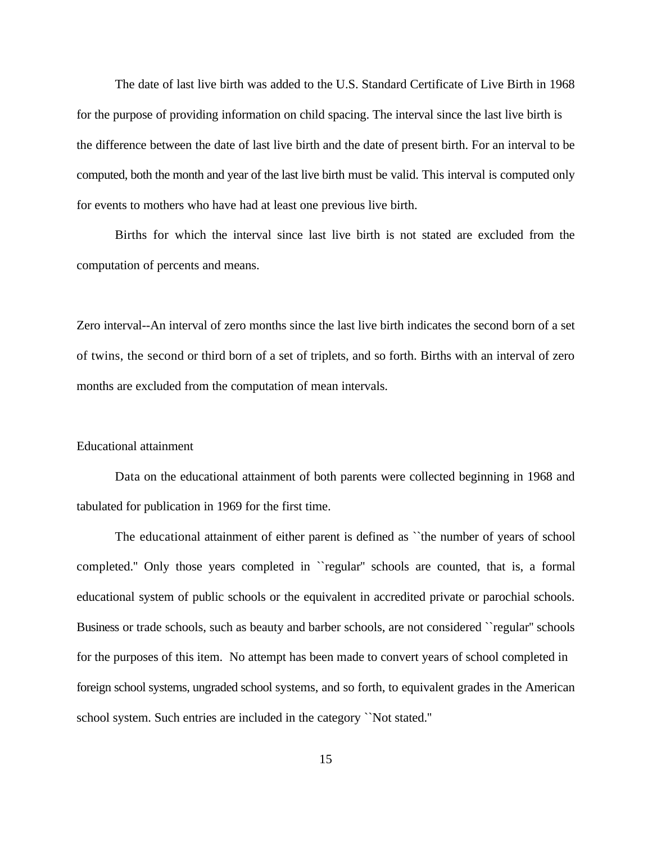The date of last live birth was added to the U.S. Standard Certificate of Live Birth in 1968 for the purpose of providing information on child spacing. The interval since the last live birth is the difference between the date of last live birth and the date of present birth. For an interval to be computed, both the month and year of the last live birth must be valid. This interval is computed only for events to mothers who have had at least one previous live birth.

Births for which the interval since last live birth is not stated are excluded from the computation of percents and means.

Zero interval--An interval of zero months since the last live birth indicates the second born of a set of twins, the second or third born of a set of triplets, and so forth. Births with an interval of zero months are excluded from the computation of mean intervals.

# Educational attainment

Data on the educational attainment of both parents were collected beginning in 1968 and tabulated for publication in 1969 for the first time.

The educational attainment of either parent is defined as ``the number of years of school completed.'' Only those years completed in ``regular'' schools are counted, that is, a formal educational system of public schools or the equivalent in accredited private or parochial schools. Business or trade schools, such as beauty and barber schools, are not considered ``regular'' schools for the purposes of this item. No attempt has been made to convert years of school completed in foreign school systems, ungraded school systems, and so forth, to equivalent grades in the American school system. Such entries are included in the category ``Not stated.''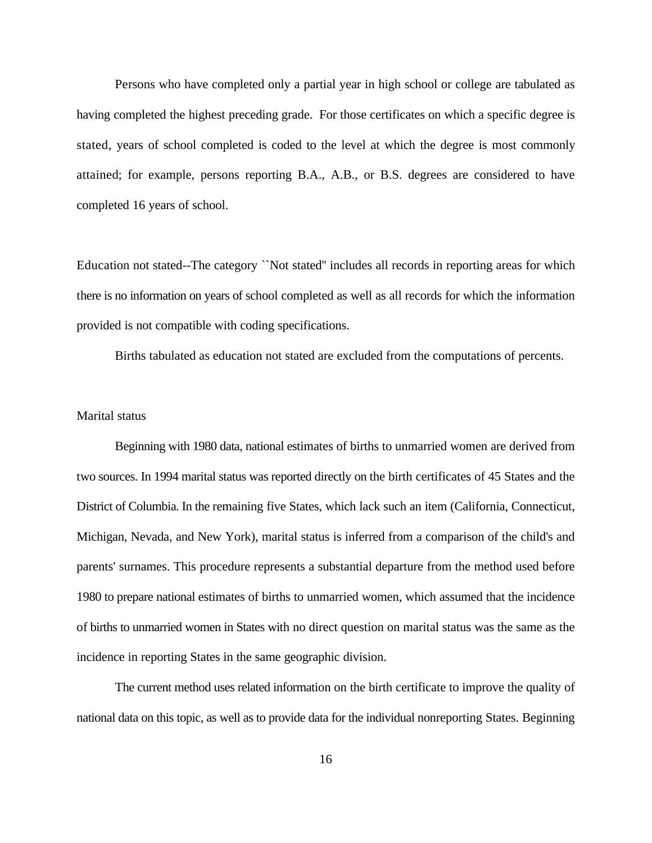Persons who have completed only a partial year in high school or college are tabulated as having completed the highest preceding grade. For those certificates on which a specific degree is stated, years of school completed is coded to the level at which the degree is most commonly attained; for example, persons reporting B.A., A.B., or B.S. degrees are considered to have completed 16 years of school.

Education not stated--The category ``Not stated'' includes all records in reporting areas for which there is no information on years of school completed as well as all records for which the information provided is not compatible with coding specifications.

Births tabulated as education not stated are excluded from the computations of percents.

# Marital status

Beginning with 1980 data, national estimates of births to unmarried women are derived from two sources. In 1994 marital status was reported directly on the birth certificates of 45 States and the District of Columbia. In the remaining five States, which lack such an item (California, Connecticut, Michigan, Nevada, and New York), marital status is inferred from a comparison of the child's and parents' surnames. This procedure represents a substantial departure from the method used before 1980 to prepare national estimates of births to unmarried women, which assumed that the incidence of births to unmarried women in States with no direct question on marital status was the same as the incidence in reporting States in the same geographic division.

The current method uses related information on the birth certificate to improve the quality of national data on this topic, as well as to provide data for the individual nonreporting States. Beginning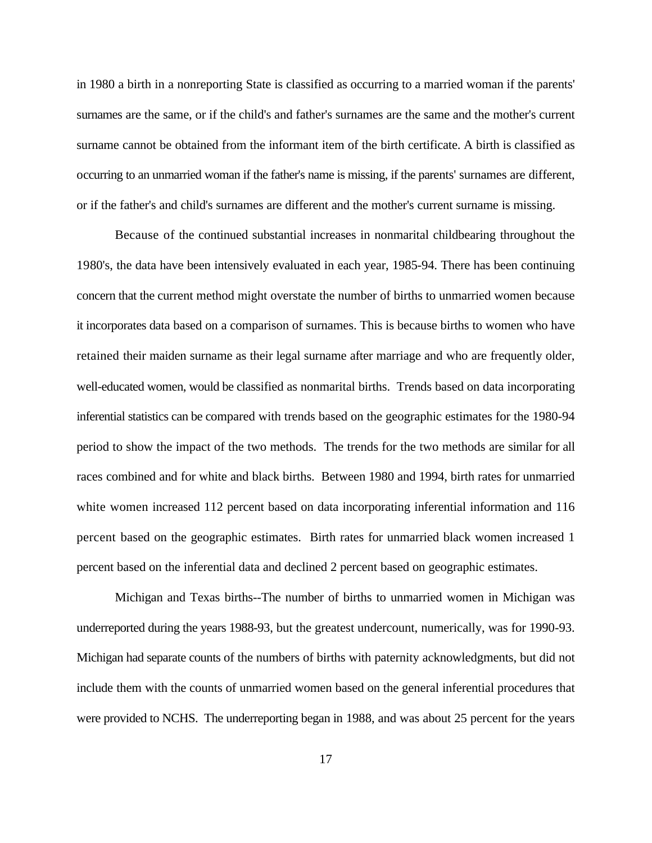in 1980 a birth in a nonreporting State is classified as occurring to a married woman if the parents' surnames are the same, or if the child's and father's surnames are the same and the mother's current surname cannot be obtained from the informant item of the birth certificate. A birth is classified as occurring to an unmarried woman if the father's name is missing, if the parents' surnames are different, or if the father's and child's surnames are different and the mother's current surname is missing.

Because of the continued substantial increases in nonmarital childbearing throughout the 1980's, the data have been intensively evaluated in each year, 1985-94. There has been continuing concern that the current method might overstate the number of births to unmarried women because it incorporates data based on a comparison of surnames. This is because births to women who have retained their maiden surname as their legal surname after marriage and who are frequently older, well-educated women, would be classified as nonmarital births. Trends based on data incorporating inferential statistics can be compared with trends based on the geographic estimates for the 1980-94 period to show the impact of the two methods. The trends for the two methods are similar for all races combined and for white and black births. Between 1980 and 1994, birth rates for unmarried white women increased 112 percent based on data incorporating inferential information and 116 percent based on the geographic estimates. Birth rates for unmarried black women increased 1 percent based on the inferential data and declined 2 percent based on geographic estimates.

Michigan and Texas births--The number of births to unmarried women in Michigan was underreported during the years 1988-93, but the greatest undercount, numerically, was for 1990-93. Michigan had separate counts of the numbers of births with paternity acknowledgments, but did not include them with the counts of unmarried women based on the general inferential procedures that were provided to NCHS. The underreporting began in 1988, and was about 25 percent for the years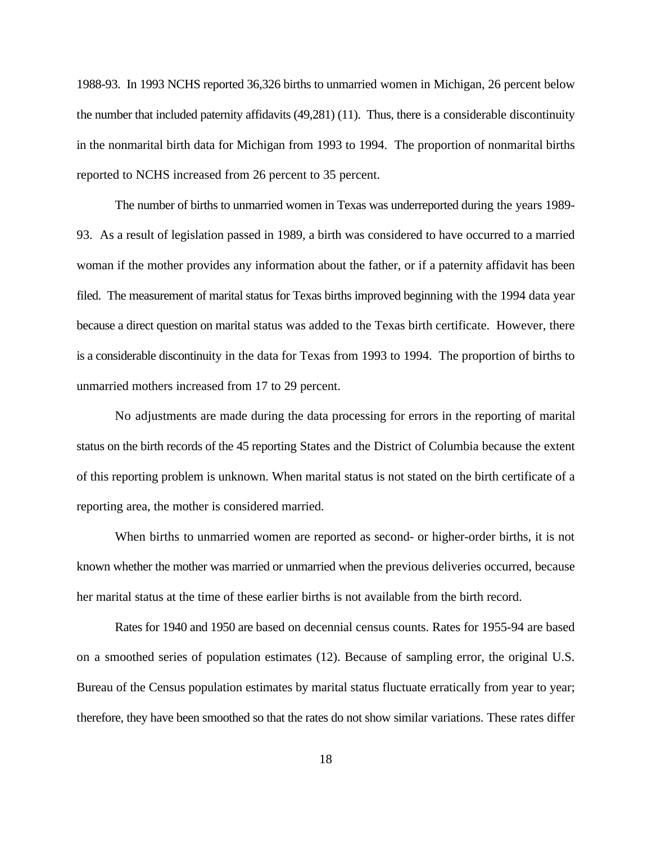1988-93. In 1993 NCHS reported 36,326 births to unmarried women in Michigan, 26 percent below the number that included paternity affidavits (49,281) (11). Thus, there is a considerable discontinuity in the nonmarital birth data for Michigan from 1993 to 1994. The proportion of nonmarital births reported to NCHS increased from 26 percent to 35 percent.

The number of births to unmarried women in Texas was underreported during the years 1989- 93. As a result of legislation passed in 1989, a birth was considered to have occurred to a married woman if the mother provides any information about the father, or if a paternity affidavit has been filed. The measurement of marital status for Texas births improved beginning with the 1994 data year because a direct question on marital status was added to the Texas birth certificate. However, there is a considerable discontinuity in the data for Texas from 1993 to 1994. The proportion of births to unmarried mothers increased from 17 to 29 percent.

No adjustments are made during the data processing for errors in the reporting of marital status on the birth records of the 45 reporting States and the District of Columbia because the extent of this reporting problem is unknown. When marital status is not stated on the birth certificate of a reporting area, the mother is considered married.

When births to unmarried women are reported as second- or higher-order births, it is not known whether the mother was married or unmarried when the previous deliveries occurred, because her marital status at the time of these earlier births is not available from the birth record.

Rates for 1940 and 1950 are based on decennial census counts. Rates for 1955-94 are based on a smoothed series of population estimates (12). Because of sampling error, the original U.S. Bureau of the Census population estimates by marital status fluctuate erratically from year to year; therefore, they have been smoothed so that the rates do not show similar variations. These rates differ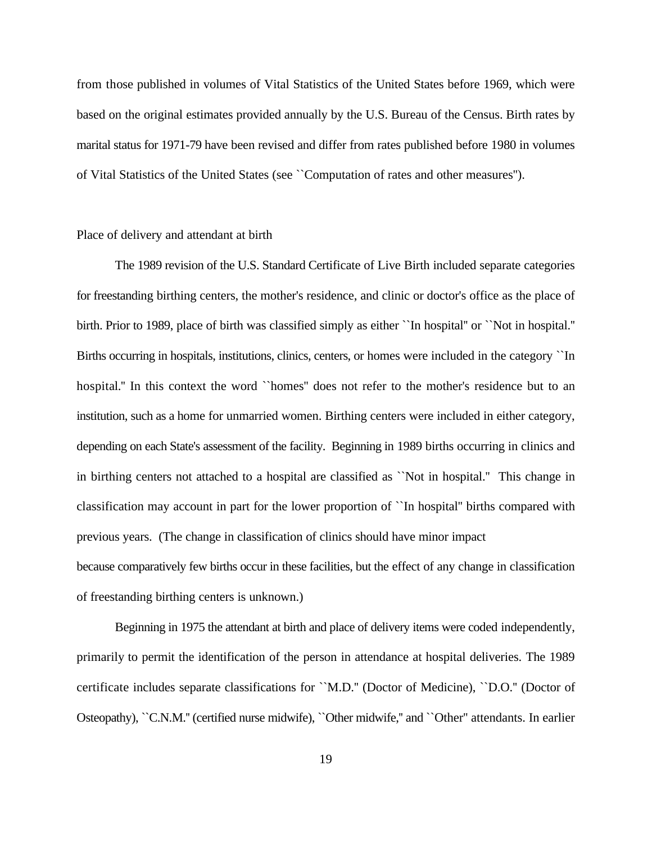from those published in volumes of Vital Statistics of the United States before 1969, which were based on the original estimates provided annually by the U.S. Bureau of the Census. Birth rates by marital status for 1971-79 have been revised and differ from rates published before 1980 in volumes of Vital Statistics of the United States (see ``Computation of rates and other measures'').

# Place of delivery and attendant at birth

The 1989 revision of the U.S. Standard Certificate of Live Birth included separate categories for freestanding birthing centers, the mother's residence, and clinic or doctor's office as the place of birth. Prior to 1989, place of birth was classified simply as either ``In hospital'' or ``Not in hospital.'' Births occurring in hospitals, institutions, clinics, centers, or homes were included in the category ``In hospital." In this context the word ``homes" does not refer to the mother's residence but to an institution, such as a home for unmarried women. Birthing centers were included in either category, depending on each State's assessment of the facility. Beginning in 1989 births occurring in clinics and in birthing centers not attached to a hospital are classified as ``Not in hospital.'' This change in classification may account in part for the lower proportion of ``In hospital'' births compared with previous years. (The change in classification of clinics should have minor impact because comparatively few births occur in these facilities, but the effect of any change in classification of freestanding birthing centers is unknown.)

Beginning in 1975 the attendant at birth and place of delivery items were coded independently, primarily to permit the identification of the person in attendance at hospital deliveries. The 1989 certificate includes separate classifications for ``M.D.'' (Doctor of Medicine), ``D.O.'' (Doctor of Osteopathy), ``C.N.M.'' (certified nurse midwife), ``Other midwife,'' and ``Other'' attendants. In earlier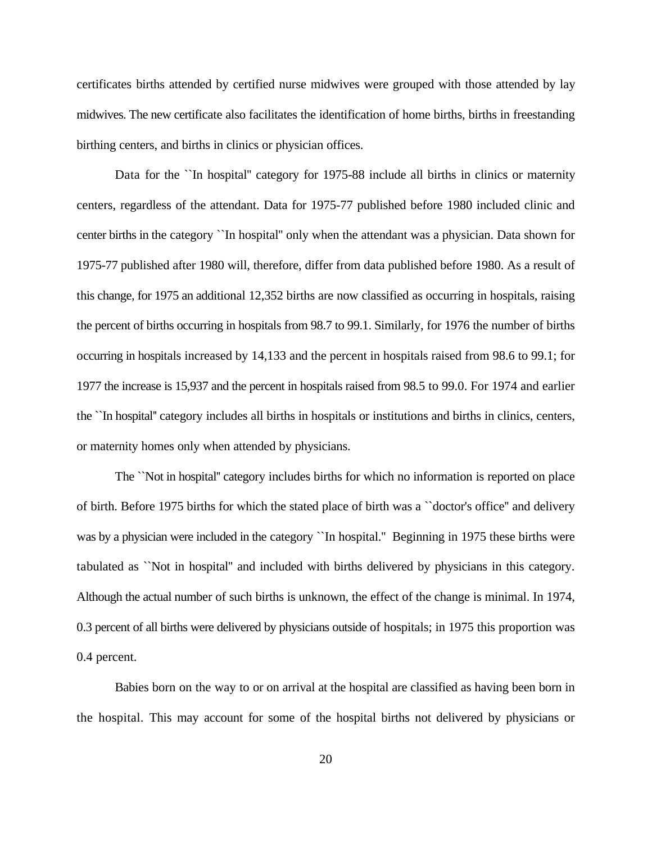certificates births attended by certified nurse midwives were grouped with those attended by lay midwives. The new certificate also facilitates the identification of home births, births in freestanding birthing centers, and births in clinics or physician offices.

Data for the ``In hospital" category for 1975-88 include all births in clinics or maternity centers, regardless of the attendant. Data for 1975-77 published before 1980 included clinic and center births in the category ``In hospital'' only when the attendant was a physician. Data shown for 1975-77 published after 1980 will, therefore, differ from data published before 1980. As a result of this change, for 1975 an additional 12,352 births are now classified as occurring in hospitals, raising the percent of births occurring in hospitals from 98.7 to 99.1. Similarly, for 1976 the number of births occurring in hospitals increased by 14,133 and the percent in hospitals raised from 98.6 to 99.1; for 1977 the increase is 15,937 and the percent in hospitals raised from 98.5 to 99.0. For 1974 and earlier the ``In hospital'' category includes all births in hospitals or institutions and births in clinics, centers, or maternity homes only when attended by physicians.

The ``Not in hospital'' category includes births for which no information is reported on place of birth. Before 1975 births for which the stated place of birth was a ``doctor's office'' and delivery was by a physician were included in the category ``In hospital." Beginning in 1975 these births were tabulated as ``Not in hospital'' and included with births delivered by physicians in this category. Although the actual number of such births is unknown, the effect of the change is minimal. In 1974, 0.3 percent of all births were delivered by physicians outside of hospitals; in 1975 this proportion was 0.4 percent.

Babies born on the way to or on arrival at the hospital are classified as having been born in the hospital. This may account for some of the hospital births not delivered by physicians or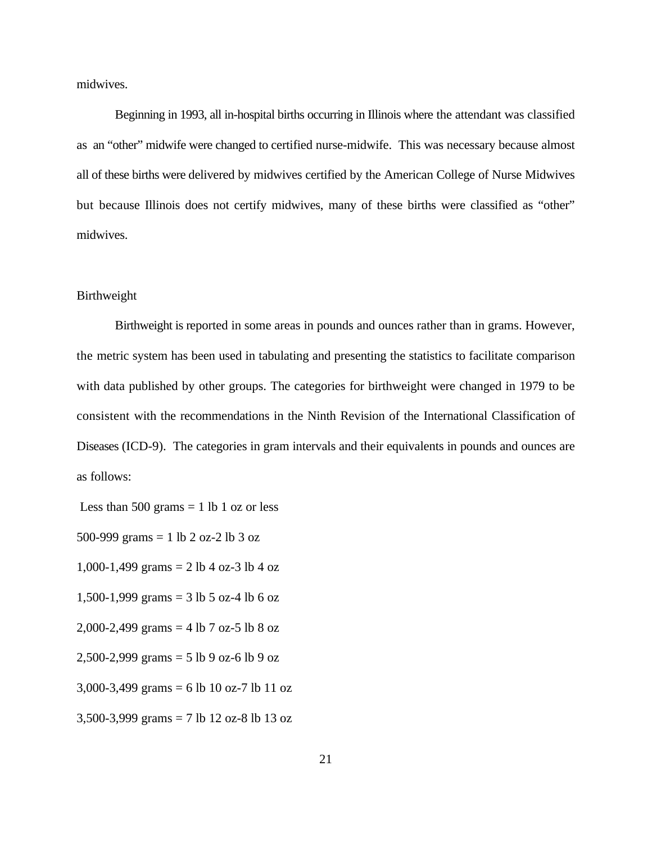midwives.

Beginning in 1993, all in-hospital births occurring in Illinois where the attendant was classified as an "other" midwife were changed to certified nurse-midwife. This was necessary because almost all of these births were delivered by midwives certified by the American College of Nurse Midwives but because Illinois does not certify midwives, many of these births were classified as "other" midwives.

## Birthweight

Birthweight is reported in some areas in pounds and ounces rather than in grams. However, the metric system has been used in tabulating and presenting the statistics to facilitate comparison with data published by other groups. The categories for birthweight were changed in 1979 to be consistent with the recommendations in the Ninth Revision of the International Classification of Diseases (ICD-9). The categories in gram intervals and their equivalents in pounds and ounces are as follows:

Less than 500 grams  $= 1$  lb 1 oz or less

500-999 grams = 1 lb 2 oz-2 lb 3 oz

1,000-1,499 grams = 2 lb 4 oz-3 lb 4 oz

1,500-1,999 grams = 3 lb 5 oz-4 lb 6 oz

2,000-2,499 grams = 4 lb 7 oz-5 lb 8 oz

2,500-2,999 grams = 5 lb 9 oz-6 lb 9 oz

3,000-3,499 grams = 6 lb 10 oz-7 lb 11 oz

3,500-3,999 grams = 7 lb 12 oz-8 lb 13 oz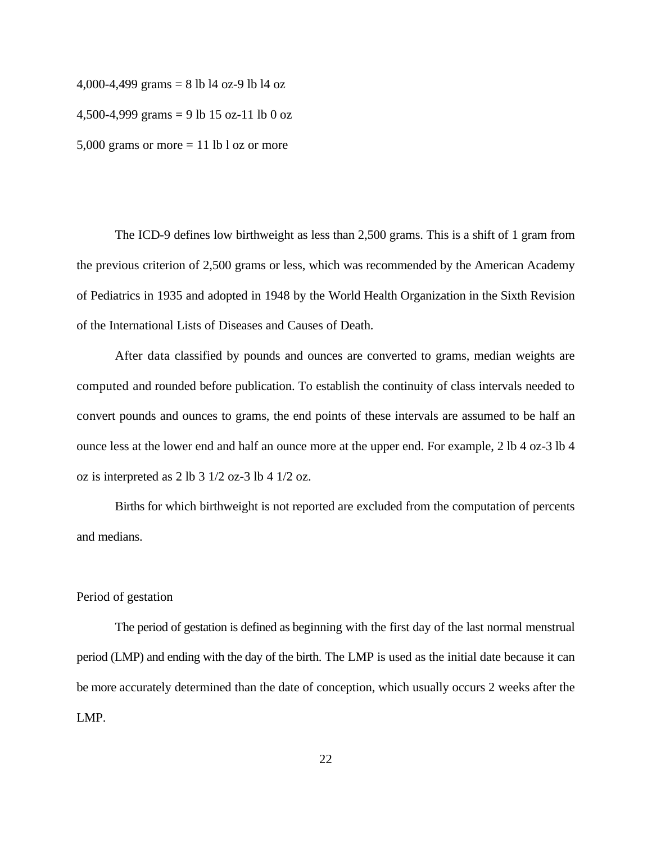4,000-4,499 grams = 8 lb l4 oz-9 lb l4 oz

4,500-4,999 grams = 9 lb 15 oz-11 lb 0 oz

5,000 grams or more  $= 11$  lb l oz or more

The ICD-9 defines low birthweight as less than 2,500 grams. This is a shift of 1 gram from the previous criterion of 2,500 grams or less, which was recommended by the American Academy of Pediatrics in 1935 and adopted in 1948 by the World Health Organization in the Sixth Revision of the International Lists of Diseases and Causes of Death.

After data classified by pounds and ounces are converted to grams, median weights are computed and rounded before publication. To establish the continuity of class intervals needed to convert pounds and ounces to grams, the end points of these intervals are assumed to be half an ounce less at the lower end and half an ounce more at the upper end. For example, 2 lb 4 oz-3 lb 4 oz is interpreted as 2 lb 3 1/2 oz-3 lb 4 1/2 oz.

Births for which birthweight is not reported are excluded from the computation of percents and medians.

# Period of gestation

The period of gestation is defined as beginning with the first day of the last normal menstrual period (LMP) and ending with the day of the birth. The LMP is used as the initial date because it can be more accurately determined than the date of conception, which usually occurs 2 weeks after the LMP.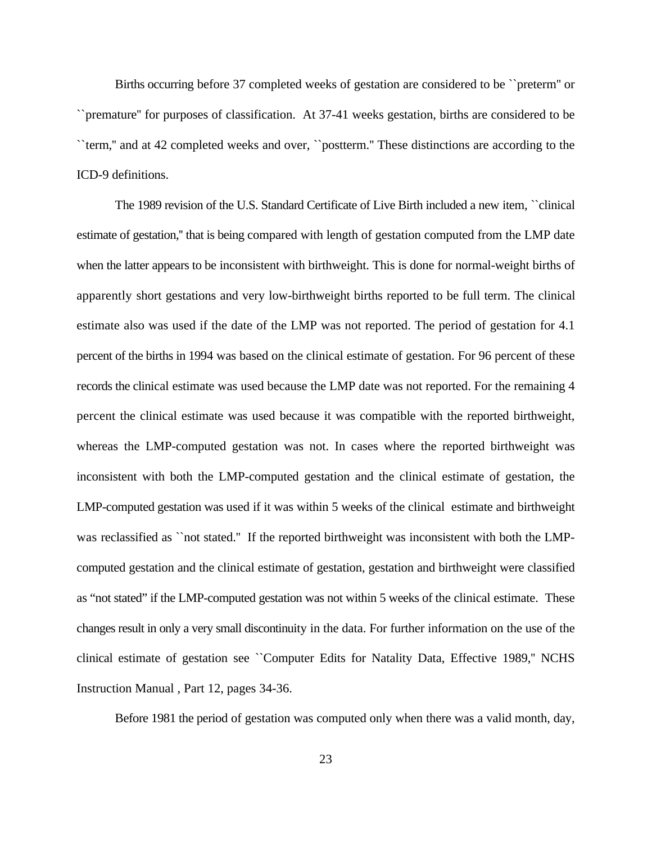Births occurring before 37 completed weeks of gestation are considered to be ``preterm'' or ``premature'' for purposes of classification. At 37-41 weeks gestation, births are considered to be ``term,'' and at 42 completed weeks and over, ``postterm.'' These distinctions are according to the ICD-9 definitions.

The 1989 revision of the U.S. Standard Certificate of Live Birth included a new item, ``clinical estimate of gestation,'' that is being compared with length of gestation computed from the LMP date when the latter appears to be inconsistent with birthweight. This is done for normal-weight births of apparently short gestations and very low-birthweight births reported to be full term. The clinical estimate also was used if the date of the LMP was not reported. The period of gestation for 4.1 percent of the births in 1994 was based on the clinical estimate of gestation. For 96 percent of these records the clinical estimate was used because the LMP date was not reported. For the remaining 4 percent the clinical estimate was used because it was compatible with the reported birthweight, whereas the LMP-computed gestation was not. In cases where the reported birthweight was inconsistent with both the LMP-computed gestation and the clinical estimate of gestation, the LMP-computed gestation was used if it was within 5 weeks of the clinical estimate and birthweight was reclassified as ``not stated.'' If the reported birthweight was inconsistent with both the LMPcomputed gestation and the clinical estimate of gestation, gestation and birthweight were classified as "not stated" if the LMP-computed gestation was not within 5 weeks of the clinical estimate. These changes result in only a very small discontinuity in the data. For further information on the use of the clinical estimate of gestation see ``Computer Edits for Natality Data, Effective 1989,'' NCHS Instruction Manual , Part 12, pages 34-36.

Before 1981 the period of gestation was computed only when there was a valid month, day,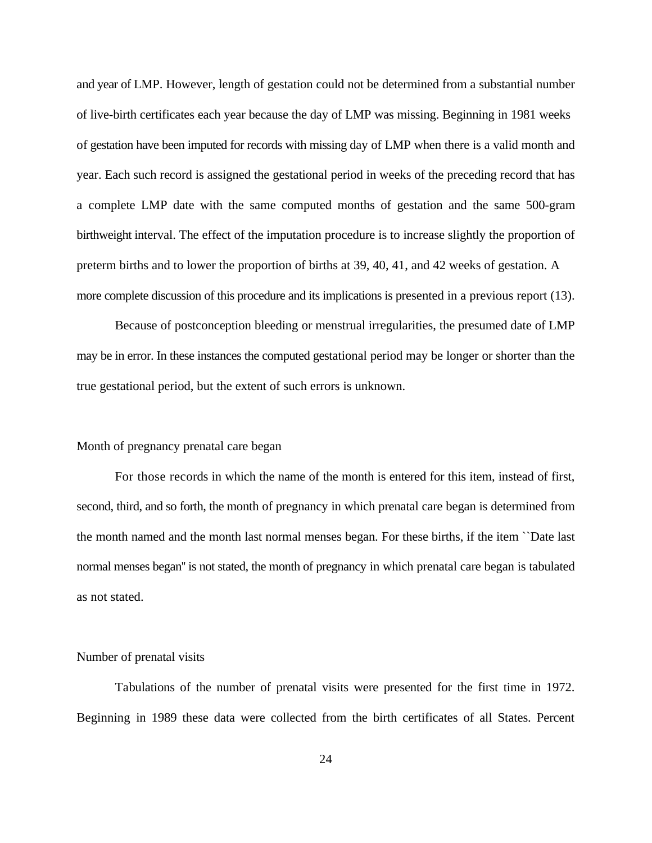and year of LMP. However, length of gestation could not be determined from a substantial number of live-birth certificates each year because the day of LMP was missing. Beginning in 1981 weeks of gestation have been imputed for records with missing day of LMP when there is a valid month and year. Each such record is assigned the gestational period in weeks of the preceding record that has a complete LMP date with the same computed months of gestation and the same 500-gram birthweight interval. The effect of the imputation procedure is to increase slightly the proportion of preterm births and to lower the proportion of births at 39, 40, 41, and 42 weeks of gestation. A more complete discussion of this procedure and its implications is presented in a previous report (13).

Because of postconception bleeding or menstrual irregularities, the presumed date of LMP may be in error. In these instances the computed gestational period may be longer or shorter than the true gestational period, but the extent of such errors is unknown.

# Month of pregnancy prenatal care began

For those records in which the name of the month is entered for this item, instead of first, second, third, and so forth, the month of pregnancy in which prenatal care began is determined from the month named and the month last normal menses began. For these births, if the item ``Date last normal menses began'' is not stated, the month of pregnancy in which prenatal care began is tabulated as not stated.

# Number of prenatal visits

Tabulations of the number of prenatal visits were presented for the first time in 1972. Beginning in 1989 these data were collected from the birth certificates of all States. Percent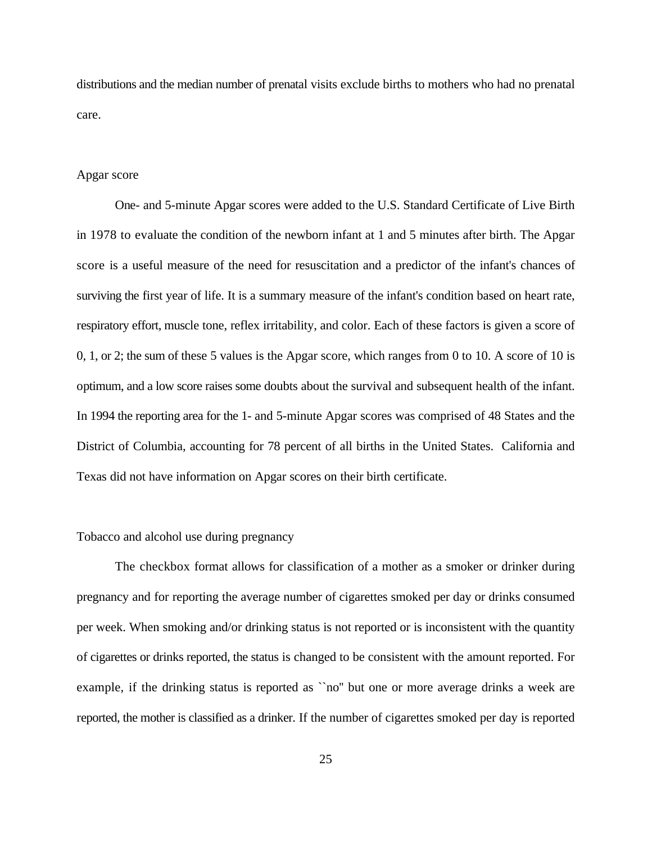distributions and the median number of prenatal visits exclude births to mothers who had no prenatal care.

# Apgar score

One- and 5-minute Apgar scores were added to the U.S. Standard Certificate of Live Birth in 1978 to evaluate the condition of the newborn infant at 1 and 5 minutes after birth. The Apgar score is a useful measure of the need for resuscitation and a predictor of the infant's chances of surviving the first year of life. It is a summary measure of the infant's condition based on heart rate, respiratory effort, muscle tone, reflex irritability, and color. Each of these factors is given a score of 0, 1, or 2; the sum of these 5 values is the Apgar score, which ranges from 0 to 10. A score of 10 is optimum, and a low score raises some doubts about the survival and subsequent health of the infant. In 1994 the reporting area for the 1- and 5-minute Apgar scores was comprised of 48 States and the District of Columbia, accounting for 78 percent of all births in the United States. California and Texas did not have information on Apgar scores on their birth certificate.

#### Tobacco and alcohol use during pregnancy

The checkbox format allows for classification of a mother as a smoker or drinker during pregnancy and for reporting the average number of cigarettes smoked per day or drinks consumed per week. When smoking and/or drinking status is not reported or is inconsistent with the quantity of cigarettes or drinks reported, the status is changed to be consistent with the amount reported. For example, if the drinking status is reported as ``no'' but one or more average drinks a week are reported, the mother is classified as a drinker. If the number of cigarettes smoked per day is reported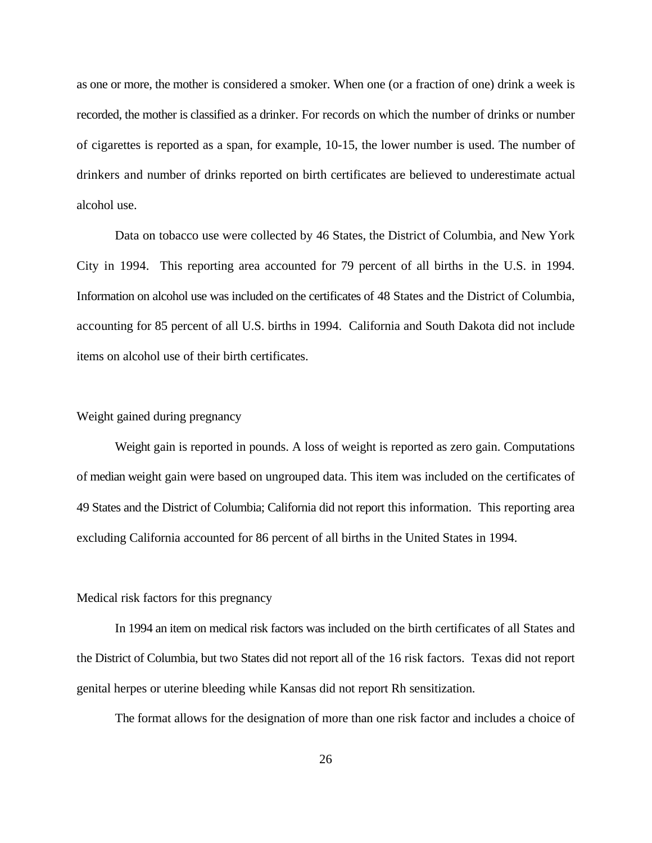as one or more, the mother is considered a smoker. When one (or a fraction of one) drink a week is recorded, the mother is classified as a drinker. For records on which the number of drinks or number of cigarettes is reported as a span, for example, 10-15, the lower number is used. The number of drinkers and number of drinks reported on birth certificates are believed to underestimate actual alcohol use.

Data on tobacco use were collected by 46 States, the District of Columbia, and New York City in 1994. This reporting area accounted for 79 percent of all births in the U.S. in 1994. Information on alcohol use was included on the certificates of 48 States and the District of Columbia, accounting for 85 percent of all U.S. births in 1994. California and South Dakota did not include items on alcohol use of their birth certificates.

# Weight gained during pregnancy

Weight gain is reported in pounds. A loss of weight is reported as zero gain. Computations of median weight gain were based on ungrouped data. This item was included on the certificates of 49 States and the District of Columbia; California did not report this information.This reporting area excluding California accounted for 86 percent of all births in the United States in 1994.

# Medical risk factors for this pregnancy

In 1994 an item on medical risk factors was included on the birth certificates of all States and the District of Columbia, but two States did not report all of the 16 risk factors. Texas did not report genital herpes or uterine bleeding while Kansas did not report Rh sensitization.

The format allows for the designation of more than one risk factor and includes a choice of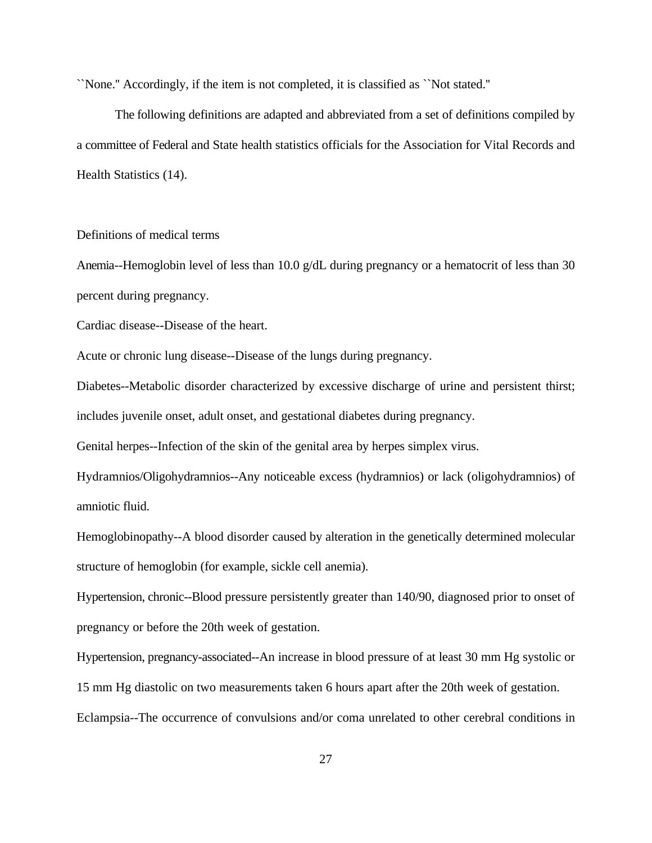``None.'' Accordingly, if the item is not completed, it is classified as ``Not stated.''

The following definitions are adapted and abbreviated from a set of definitions compiled by a committee of Federal and State health statistics officials for the Association for Vital Records and Health Statistics (14).

Definitions of medical terms

Anemia--Hemoglobin level of less than 10.0 g/dL during pregnancy or a hematocrit of less than 30 percent during pregnancy.

Cardiac disease--Disease of the heart.

Acute or chronic lung disease--Disease of the lungs during pregnancy.

Diabetes--Metabolic disorder characterized by excessive discharge of urine and persistent thirst; includes juvenile onset, adult onset, and gestational diabetes during pregnancy.

Genital herpes--Infection of the skin of the genital area by herpes simplex virus.

Hydramnios/Oligohydramnios--Any noticeable excess (hydramnios) or lack (oligohydramnios) of amniotic fluid.

Hemoglobinopathy--A blood disorder caused by alteration in the genetically determined molecular structure of hemoglobin (for example, sickle cell anemia).

Hypertension, chronic--Blood pressure persistently greater than 140/90, diagnosed prior to onset of pregnancy or before the 20th week of gestation.

Hypertension, pregnancy-associated--An increase in blood pressure of at least 30 mm Hg systolic or 15 mm Hg diastolic on two measurements taken 6 hours apart after the 20th week of gestation. Eclampsia--The occurrence of convulsions and/or coma unrelated to other cerebral conditions in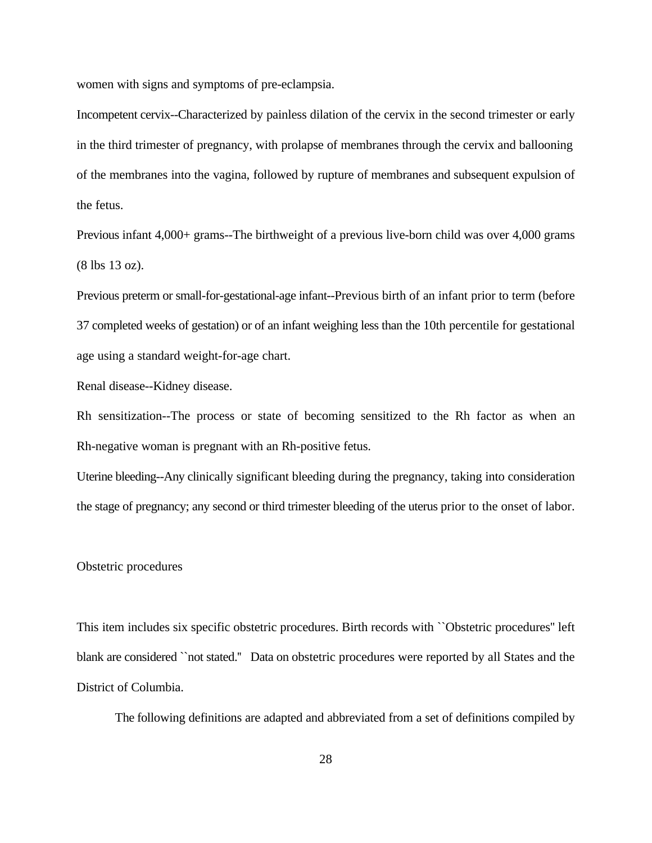women with signs and symptoms of pre-eclampsia.

Incompetent cervix--Characterized by painless dilation of the cervix in the second trimester or early in the third trimester of pregnancy, with prolapse of membranes through the cervix and ballooning of the membranes into the vagina, followed by rupture of membranes and subsequent expulsion of the fetus.

Previous infant 4,000+ grams--The birthweight of a previous live-born child was over 4,000 grams (8 lbs 13 oz).

Previous preterm or small-for-gestational-age infant--Previous birth of an infant prior to term (before 37 completed weeks of gestation) or of an infant weighing less than the 10th percentile for gestational age using a standard weight-for-age chart.

Renal disease--Kidney disease.

Rh sensitization--The process or state of becoming sensitized to the Rh factor as when an Rh-negative woman is pregnant with an Rh-positive fetus.

Uterine bleeding--Any clinically significant bleeding during the pregnancy, taking into consideration the stage of pregnancy; any second or third trimester bleeding of the uterus prior to the onset of labor.

#### Obstetric procedures

This item includes six specific obstetric procedures. Birth records with ``Obstetric procedures'' left blank are considered ``not stated." Data on obstetric procedures were reported by all States and the District of Columbia.

The following definitions are adapted and abbreviated from a set of definitions compiled by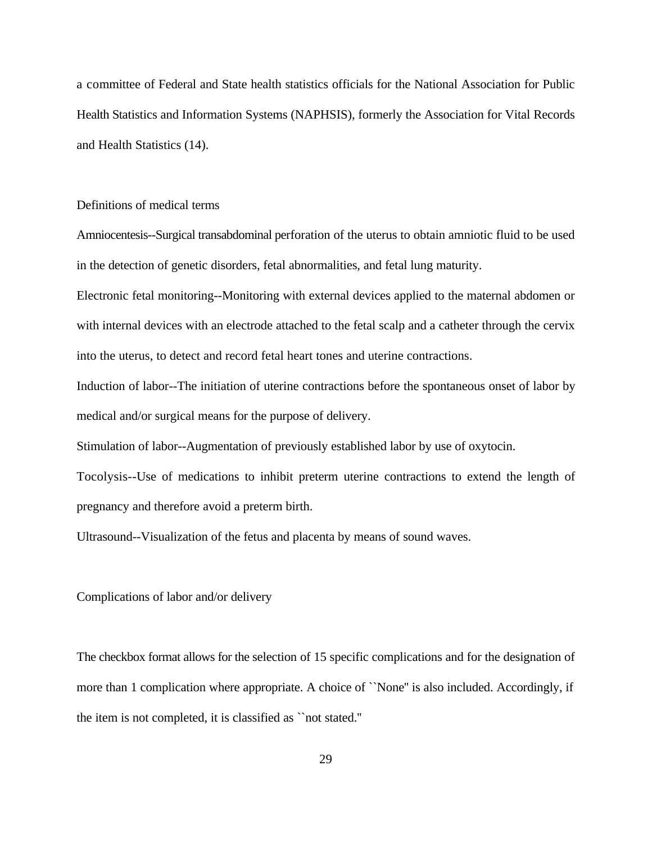a committee of Federal and State health statistics officials for the National Association for Public Health Statistics and Information Systems (NAPHSIS), formerly the Association for Vital Records and Health Statistics (14).

# Definitions of medical terms

Amniocentesis--Surgical transabdominal perforation of the uterus to obtain amniotic fluid to be used in the detection of genetic disorders, fetal abnormalities, and fetal lung maturity.

Electronic fetal monitoring--Monitoring with external devices applied to the maternal abdomen or with internal devices with an electrode attached to the fetal scalp and a catheter through the cervix into the uterus, to detect and record fetal heart tones and uterine contractions.

Induction of labor--The initiation of uterine contractions before the spontaneous onset of labor by medical and/or surgical means for the purpose of delivery.

Stimulation of labor--Augmentation of previously established labor by use of oxytocin.

Tocolysis--Use of medications to inhibit preterm uterine contractions to extend the length of pregnancy and therefore avoid a preterm birth.

Ultrasound--Visualization of the fetus and placenta by means of sound waves.

Complications of labor and/or delivery

The checkbox format allows for the selection of 15 specific complications and for the designation of more than 1 complication where appropriate. A choice of ``None'' is also included. Accordingly, if the item is not completed, it is classified as ``not stated.''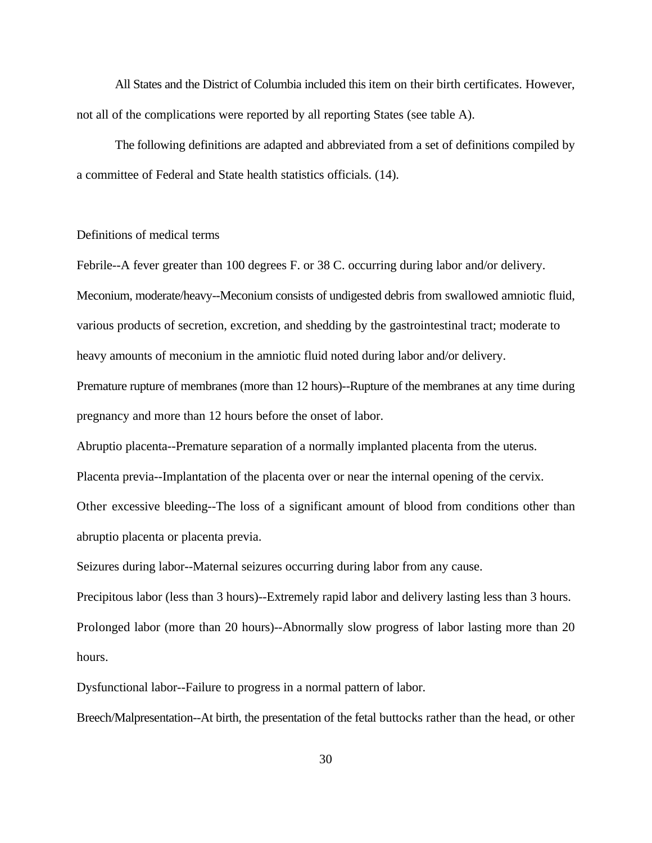All States and the District of Columbia included this item on their birth certificates. However, not all of the complications were reported by all reporting States (see table A).

The following definitions are adapted and abbreviated from a set of definitions compiled by a committee of Federal and State health statistics officials. (14).

# Definitions of medical terms

Febrile--A fever greater than 100 degrees F. or 38 C. occurring during labor and/or delivery. Meconium, moderate/heavy--Meconium consists of undigested debris from swallowed amniotic fluid, various products of secretion, excretion, and shedding by the gastrointestinal tract; moderate to heavy amounts of meconium in the amniotic fluid noted during labor and/or delivery.

Premature rupture of membranes (more than 12 hours)--Rupture of the membranes at any time during pregnancy and more than 12 hours before the onset of labor.

Abruptio placenta--Premature separation of a normally implanted placenta from the uterus.

Placenta previa--Implantation of the placenta over or near the internal opening of the cervix.

Other excessive bleeding--The loss of a significant amount of blood from conditions other than abruptio placenta or placenta previa.

Seizures during labor--Maternal seizures occurring during labor from any cause.

Precipitous labor (less than 3 hours)--Extremely rapid labor and delivery lasting less than 3 hours. Prolonged labor (more than 20 hours)--Abnormally slow progress of labor lasting more than 20 hours.

Dysfunctional labor--Failure to progress in a normal pattern of labor.

Breech/Malpresentation--At birth, the presentation of the fetal buttocks rather than the head, or other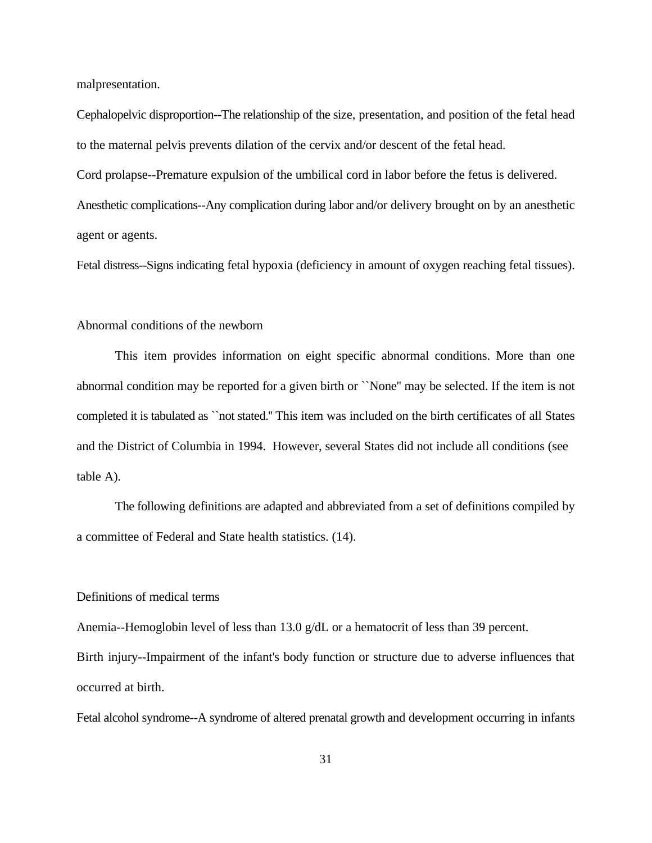malpresentation.

Cephalopelvic disproportion--The relationship of the size, presentation, and position of the fetal head to the maternal pelvis prevents dilation of the cervix and/or descent of the fetal head. Cord prolapse--Premature expulsion of the umbilical cord in labor before the fetus is delivered. Anesthetic complications--Any complication during labor and/or delivery brought on by an anesthetic agent or agents.

Fetal distress--Signs indicating fetal hypoxia (deficiency in amount of oxygen reaching fetal tissues).

## Abnormal conditions of the newborn

This item provides information on eight specific abnormal conditions. More than one abnormal condition may be reported for a given birth or ``None'' may be selected. If the item is not completed it is tabulated as ``not stated.'' This item was included on the birth certificates of all States and the District of Columbia in 1994. However, several States did not include all conditions (see table A).

The following definitions are adapted and abbreviated from a set of definitions compiled by a committee of Federal and State health statistics. (14).

# Definitions of medical terms

Anemia--Hemoglobin level of less than 13.0 g/dL or a hematocrit of less than 39 percent. Birth injury--Impairment of the infant's body function or structure due to adverse influences that occurred at birth.

Fetal alcohol syndrome--A syndrome of altered prenatal growth and development occurring in infants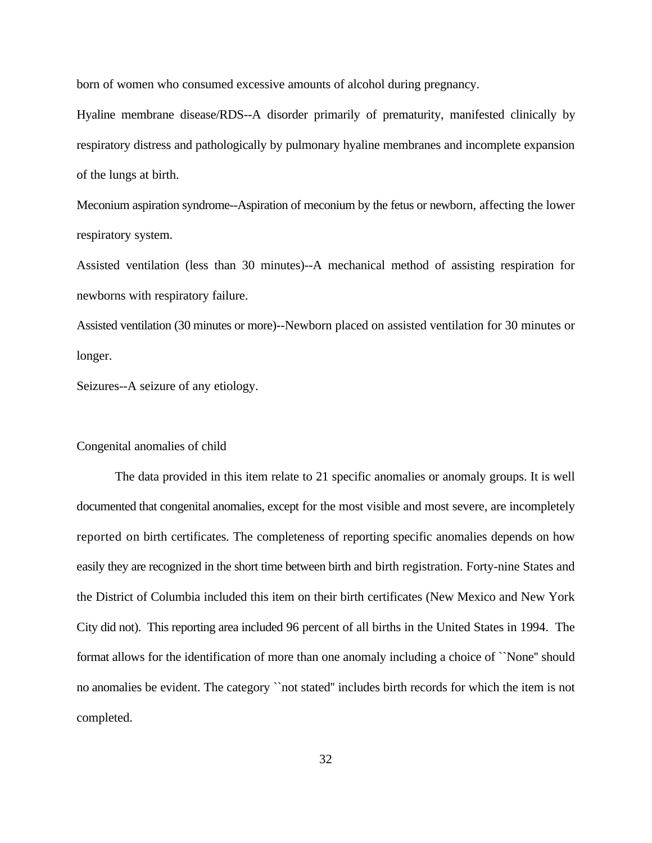born of women who consumed excessive amounts of alcohol during pregnancy.

Hyaline membrane disease/RDS--A disorder primarily of prematurity, manifested clinically by respiratory distress and pathologically by pulmonary hyaline membranes and incomplete expansion of the lungs at birth.

Meconium aspiration syndrome--Aspiration of meconium by the fetus or newborn, affecting the lower respiratory system.

Assisted ventilation (less than 30 minutes)--A mechanical method of assisting respiration for newborns with respiratory failure.

Assisted ventilation (30 minutes or more)--Newborn placed on assisted ventilation for 30 minutes or longer.

Seizures--A seizure of any etiology.

# Congenital anomalies of child

The data provided in this item relate to 21 specific anomalies or anomaly groups. It is well documented that congenital anomalies, except for the most visible and most severe, are incompletely reported on birth certificates. The completeness of reporting specific anomalies depends on how easily they are recognized in the short time between birth and birth registration. Forty-nine States and the District of Columbia included this item on their birth certificates (New Mexico and New York City did not). This reporting area included 96 percent of all births in the United States in 1994. The format allows for the identification of more than one anomaly including a choice of ``None'' should no anomalies be evident. The category ``not stated'' includes birth records for which the item is not completed.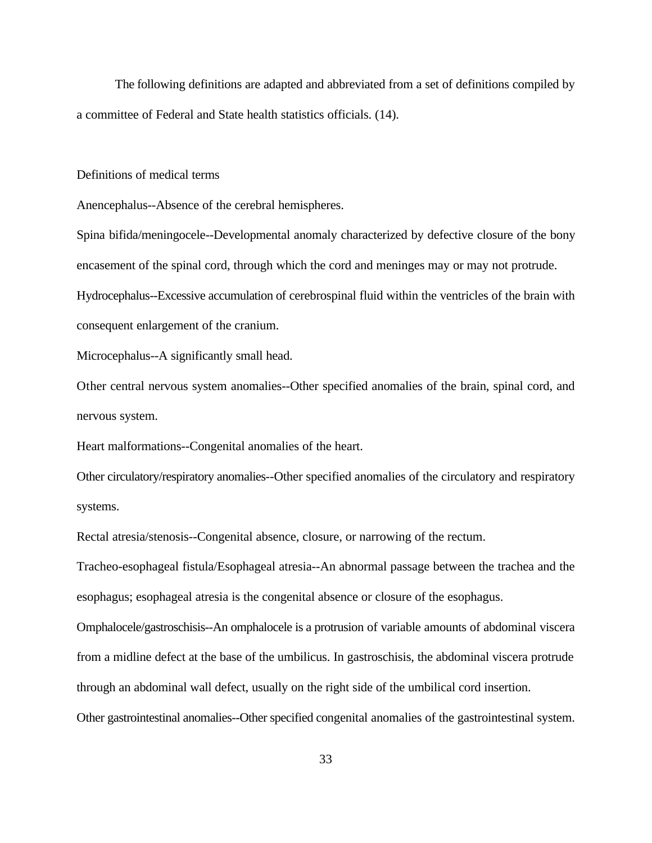The following definitions are adapted and abbreviated from a set of definitions compiled by a committee of Federal and State health statistics officials. (14).

Definitions of medical terms

Anencephalus--Absence of the cerebral hemispheres.

Spina bifida/meningocele--Developmental anomaly characterized by defective closure of the bony encasement of the spinal cord, through which the cord and meninges may or may not protrude. Hydrocephalus--Excessive accumulation of cerebrospinal fluid within the ventricles of the brain with

consequent enlargement of the cranium.

Microcephalus--A significantly small head.

Other central nervous system anomalies--Other specified anomalies of the brain, spinal cord, and nervous system.

Heart malformations--Congenital anomalies of the heart.

Other circulatory/respiratory anomalies--Other specified anomalies of the circulatory and respiratory systems.

Rectal atresia/stenosis--Congenital absence, closure, or narrowing of the rectum.

Tracheo-esophageal fistula/Esophageal atresia--An abnormal passage between the trachea and the esophagus; esophageal atresia is the congenital absence or closure of the esophagus.

Omphalocele/gastroschisis--An omphalocele is a protrusion of variable amounts of abdominal viscera from a midline defect at the base of the umbilicus. In gastroschisis, the abdominal viscera protrude through an abdominal wall defect, usually on the right side of the umbilical cord insertion.

Other gastrointestinal anomalies--Other specified congenital anomalies of the gastrointestinal system.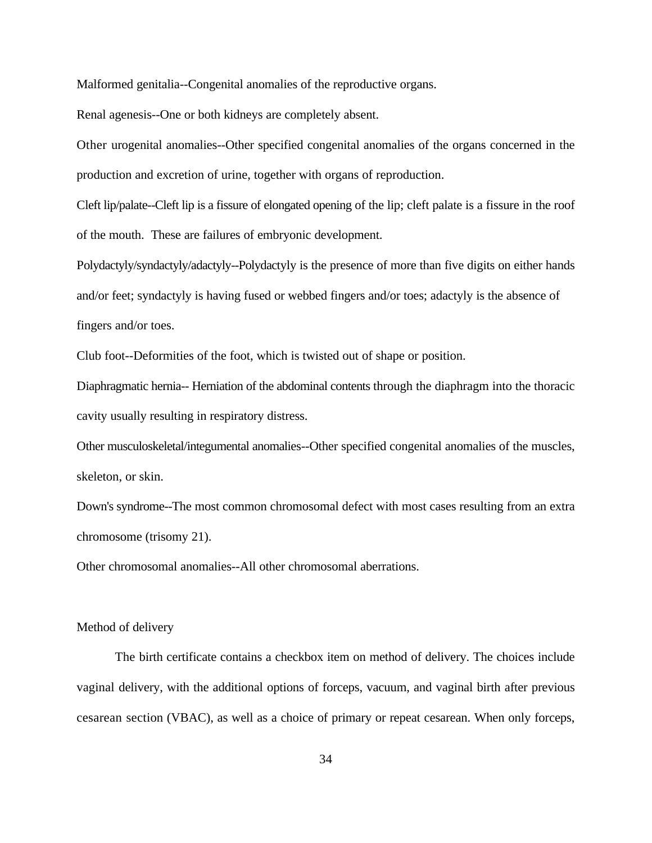Malformed genitalia--Congenital anomalies of the reproductive organs.

Renal agenesis--One or both kidneys are completely absent.

Other urogenital anomalies--Other specified congenital anomalies of the organs concerned in the production and excretion of urine, together with organs of reproduction.

Cleft lip/palate--Cleft lip is a fissure of elongated opening of the lip; cleft palate is a fissure in the roof of the mouth. These are failures of embryonic development.

Polydactyly/syndactyly/adactyly--Polydactyly is the presence of more than five digits on either hands and/or feet; syndactyly is having fused or webbed fingers and/or toes; adactyly is the absence of fingers and/or toes.

Club foot--Deformities of the foot, which is twisted out of shape or position.

Diaphragmatic hernia-- Herniation of the abdominal contents through the diaphragm into the thoracic cavity usually resulting in respiratory distress.

Other musculoskeletal/integumental anomalies--Other specified congenital anomalies of the muscles, skeleton, or skin.

Down's syndrome--The most common chromosomal defect with most cases resulting from an extra chromosome (trisomy 21).

Other chromosomal anomalies--All other chromosomal aberrations.

# Method of delivery

The birth certificate contains a checkbox item on method of delivery. The choices include vaginal delivery, with the additional options of forceps, vacuum, and vaginal birth after previous cesarean section (VBAC), as well as a choice of primary or repeat cesarean. When only forceps,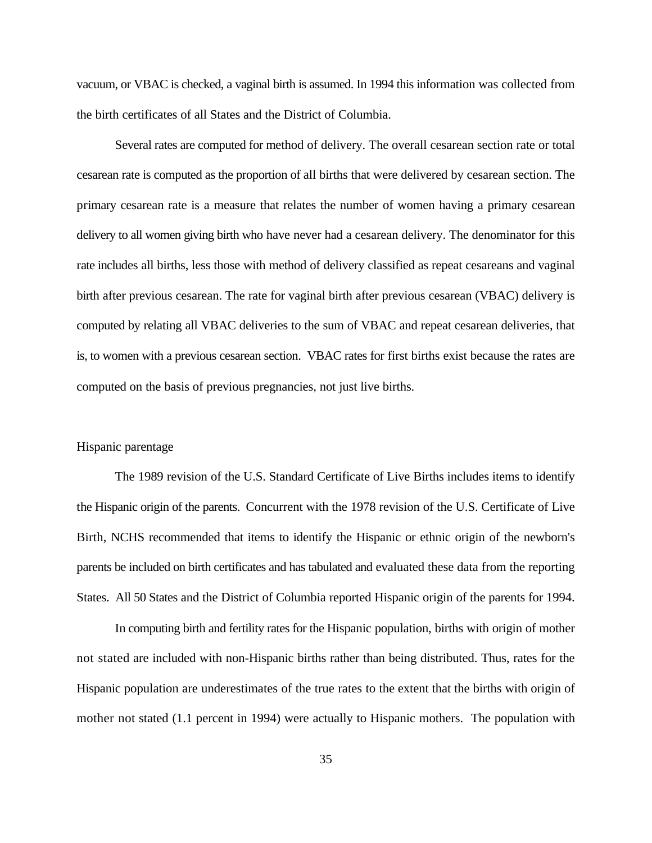vacuum, or VBAC is checked, a vaginal birth is assumed. In 1994 this information was collected from the birth certificates of all States and the District of Columbia.

Several rates are computed for method of delivery. The overall cesarean section rate or total cesarean rate is computed as the proportion of all births that were delivered by cesarean section. The primary cesarean rate is a measure that relates the number of women having a primary cesarean delivery to all women giving birth who have never had a cesarean delivery. The denominator for this rate includes all births, less those with method of delivery classified as repeat cesareans and vaginal birth after previous cesarean. The rate for vaginal birth after previous cesarean (VBAC) delivery is computed by relating all VBAC deliveries to the sum of VBAC and repeat cesarean deliveries, that is, to women with a previous cesarean section.VBAC rates for first births exist because the rates are computed on the basis of previous pregnancies, not just live births.

# Hispanic parentage

The 1989 revision of the U.S. Standard Certificate of Live Births includes items to identify the Hispanic origin of the parents. Concurrent with the 1978 revision of the U.S. Certificate of Live Birth, NCHS recommended that items to identify the Hispanic or ethnic origin of the newborn's parents be included on birth certificates and has tabulated and evaluated these data from the reporting States.All 50 States and the District of Columbia reported Hispanic origin of the parents for 1994.

In computing birth and fertility rates for the Hispanic population, births with origin of mother not stated are included with non-Hispanic births rather than being distributed. Thus, rates for the Hispanic population are underestimates of the true rates to the extent that the births with origin of mother not stated (1.1 percent in 1994) were actually to Hispanic mothers. The population with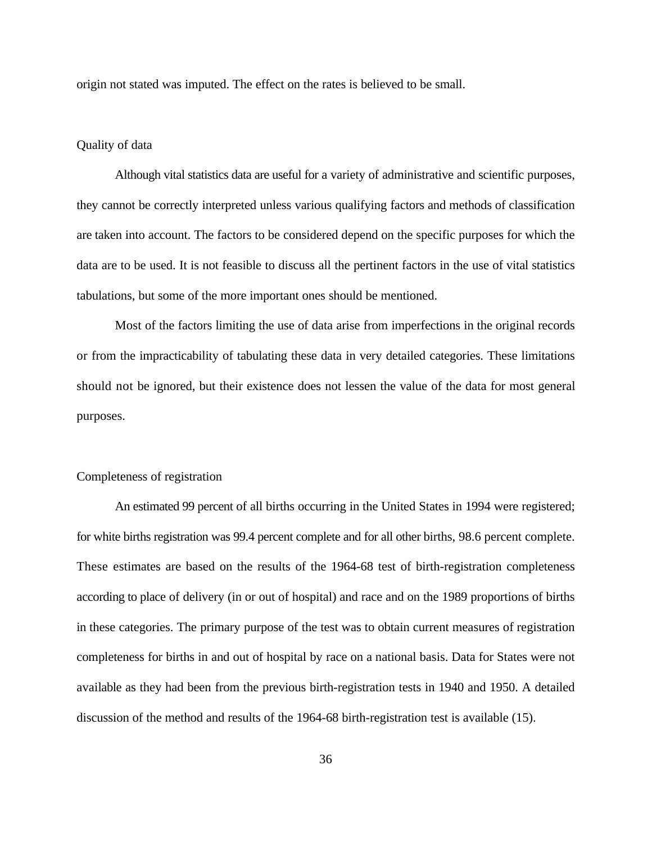origin not stated was imputed. The effect on the rates is believed to be small.

#### Quality of data

Although vital statistics data are useful for a variety of administrative and scientific purposes, they cannot be correctly interpreted unless various qualifying factors and methods of classification are taken into account. The factors to be considered depend on the specific purposes for which the data are to be used. It is not feasible to discuss all the pertinent factors in the use of vital statistics tabulations, but some of the more important ones should be mentioned.

Most of the factors limiting the use of data arise from imperfections in the original records or from the impracticability of tabulating these data in very detailed categories. These limitations should not be ignored, but their existence does not lessen the value of the data for most general purposes.

# Completeness of registration

An estimated 99 percent of all births occurring in the United States in 1994 were registered; for white births registration was 99.4 percent complete and for all other births, 98.6 percent complete. These estimates are based on the results of the 1964-68 test of birth-registration completeness according to place of delivery (in or out of hospital) and race and on the 1989 proportions of births in these categories. The primary purpose of the test was to obtain current measures of registration completeness for births in and out of hospital by race on a national basis. Data for States were not available as they had been from the previous birth-registration tests in 1940 and 1950. A detailed discussion of the method and results of the 1964-68 birth-registration test is available (15).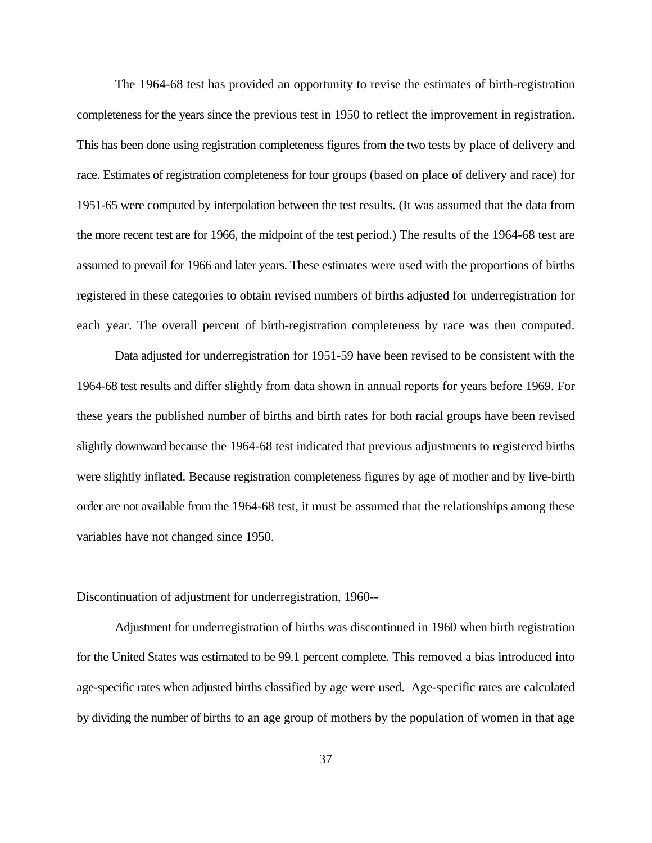The 1964-68 test has provided an opportunity to revise the estimates of birth-registration completeness for the years since the previous test in 1950 to reflect the improvement in registration. This has been done using registration completeness figures from the two tests by place of delivery and race. Estimates of registration completeness for four groups (based on place of delivery and race) for 1951-65 were computed by interpolation between the test results. (It was assumed that the data from the more recent test are for 1966, the midpoint of the test period.) The results of the 1964-68 test are assumed to prevail for 1966 and later years. These estimates were used with the proportions of births registered in these categories to obtain revised numbers of births adjusted for underregistration for each year. The overall percent of birth-registration completeness by race was then computed.

Data adjusted for underregistration for 1951-59 have been revised to be consistent with the 1964-68 test results and differ slightly from data shown in annual reports for years before 1969. For these years the published number of births and birth rates for both racial groups have been revised slightly downward because the 1964-68 test indicated that previous adjustments to registered births were slightly inflated. Because registration completeness figures by age of mother and by live-birth order are not available from the 1964-68 test, it must be assumed that the relationships among these variables have not changed since 1950.

Discontinuation of adjustment for underregistration, 1960--

Adjustment for underregistration of births was discontinued in 1960 when birth registration for the United States was estimated to be 99.1 percent complete. This removed a bias introduced into age-specific rates when adjusted births classified by age were used. Age-specific rates are calculated by dividing the number of births to an age group of mothers by the population of women in that age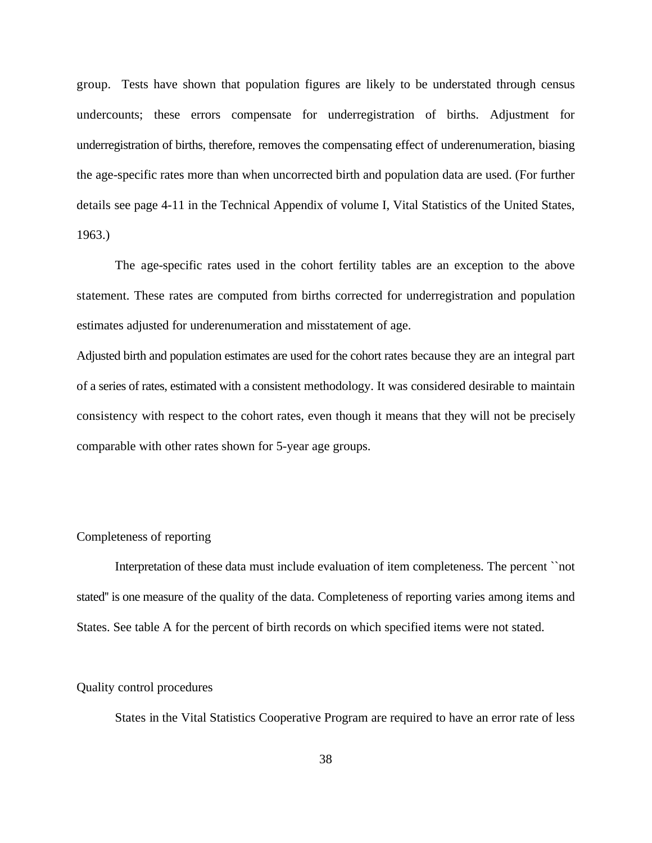group. Tests have shown that population figures are likely to be understated through census undercounts; these errors compensate for underregistration of births. Adjustment for underregistration of births, therefore, removes the compensating effect of underenumeration, biasing the age-specific rates more than when uncorrected birth and population data are used. (For further details see page 4-11 in the Technical Appendix of volume I, Vital Statistics of the United States, 1963.)

The age-specific rates used in the cohort fertility tables are an exception to the above statement. These rates are computed from births corrected for underregistration and population estimates adjusted for underenumeration and misstatement of age.

Adjusted birth and population estimates are used for the cohort rates because they are an integral part of a series of rates, estimated with a consistent methodology. It was considered desirable to maintain consistency with respect to the cohort rates, even though it means that they will not be precisely comparable with other rates shown for 5-year age groups.

# Completeness of reporting

Interpretation of these data must include evaluation of item completeness. The percent ``not stated'' is one measure of the quality of the data. Completeness of reporting varies among items and States. See table A for the percent of birth records on which specified items were not stated.

# Quality control procedures

States in the Vital Statistics Cooperative Program are required to have an error rate of less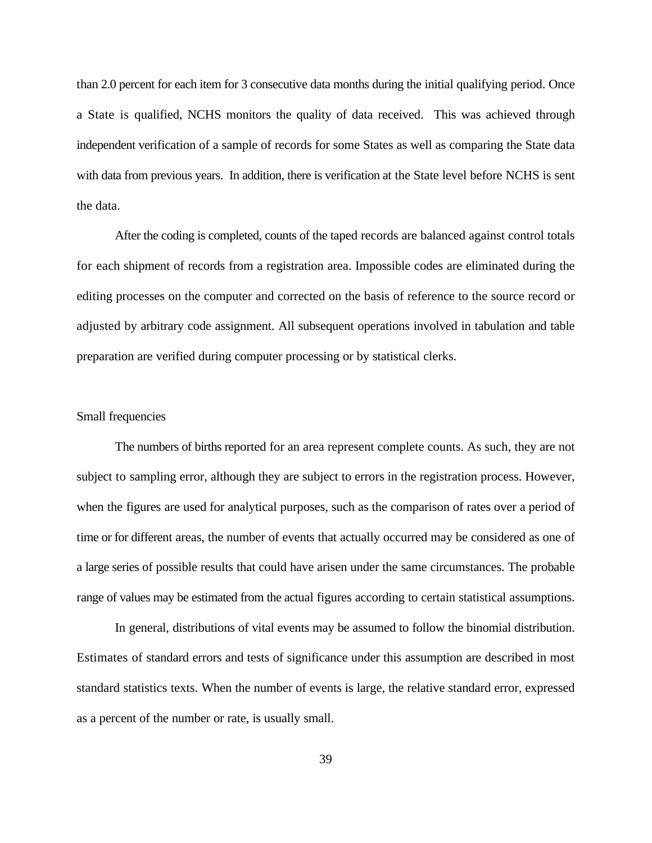than 2.0 percent for each item for 3 consecutive data months during the initial qualifying period. Once a State is qualified, NCHS monitors the quality of data received.This was achieved through independent verification of a sample of records for some States as well as comparing the State data with data from previous years. In addition, there is verification at the State level before NCHS is sent the data.

After the coding is completed, counts of the taped records are balanced against control totals for each shipment of records from a registration area. Impossible codes are eliminated during the editing processes on the computer and corrected on the basis of reference to the source record or adjusted by arbitrary code assignment. All subsequent operations involved in tabulation and table preparation are verified during computer processing or by statistical clerks.

# Small frequencies

The numbers of births reported for an area represent complete counts. As such, they are not subject to sampling error, although they are subject to errors in the registration process. However, when the figures are used for analytical purposes, such as the comparison of rates over a period of time or for different areas, the number of events that actually occurred may be considered as one of a large series of possible results that could have arisen under the same circumstances. The probable range of values may be estimated from the actual figures according to certain statistical assumptions.

In general, distributions of vital events may be assumed to follow the binomial distribution. Estimates of standard errors and tests of significance under this assumption are described in most standard statistics texts. When the number of events is large, the relative standard error, expressed as a percent of the number or rate, is usually small.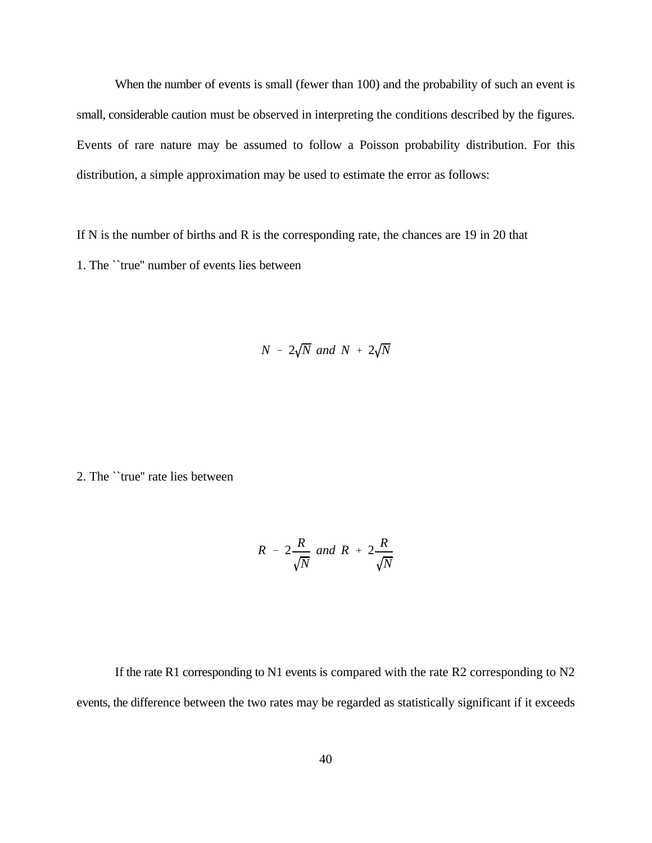When the number of events is small (fewer than 100) and the probability of such an event is small, considerable caution must be observed in interpreting the conditions described by the figures. Events of rare nature may be assumed to follow a Poisson probability distribution. For this distribution, a simple approximation may be used to estimate the error as follows:

If N is the number of births and R is the corresponding rate, the chances are 19 in 20 that 1. The ``true'' number of events lies between

$$
N - 2\sqrt{N} \text{ and } N + 2\sqrt{N}
$$

2. The ``true'' rate lies between

$$
R - 2\frac{R}{\sqrt{N}} \text{ and } R + 2\frac{R}{\sqrt{N}}
$$

If the rate R1 corresponding to N1 events is compared with the rate R2 corresponding to N2 events, the difference between the two rates may be regarded as statistically significant if it exceeds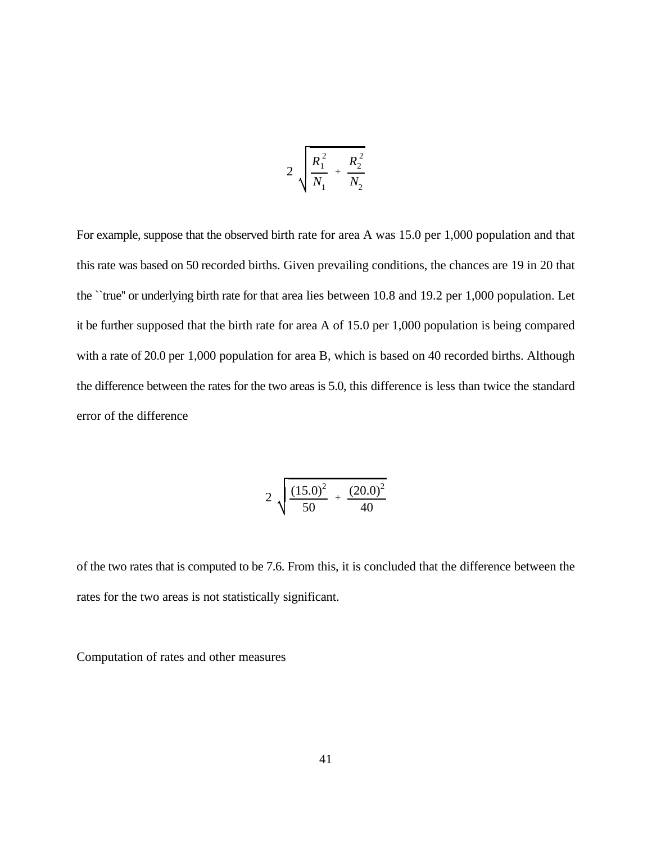$$
2\sqrt{\frac{R_1^2}{N_1} + \frac{R_2^2}{N_2}}
$$

For example, suppose that the observed birth rate for area A was 15.0 per 1,000 population and that this rate was based on 50 recorded births. Given prevailing conditions, the chances are 19 in 20 that the ``true'' or underlying birth rate for that area lies between 10.8 and 19.2 per 1,000 population. Let it be further supposed that the birth rate for area A of 15.0 per 1,000 population is being compared with a rate of 20.0 per 1,000 population for area B, which is based on 40 recorded births. Although the difference between the rates for the two areas is 5.0, this difference is less than twice the standard error of the difference

$$
2\sqrt{\frac{(15.0)^2}{50}+\frac{(20.0)^2}{40}}
$$

of the two rates that is computed to be 7.6. From this, it is concluded that the difference between the rates for the two areas is not statistically significant.

Computation of rates and other measures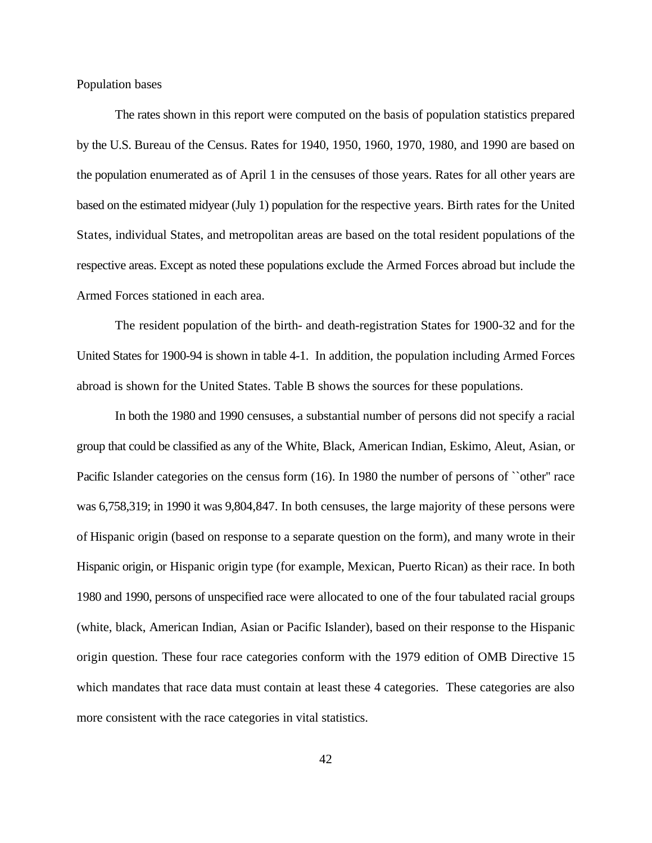Population bases

The rates shown in this report were computed on the basis of population statistics prepared by the U.S. Bureau of the Census. Rates for 1940, 1950, 1960, 1970, 1980, and 1990 are based on the population enumerated as of April 1 in the censuses of those years. Rates for all other years are based on the estimated midyear (July 1) population for the respective years. Birth rates for the United States, individual States, and metropolitan areas are based on the total resident populations of the respective areas. Except as noted these populations exclude the Armed Forces abroad but include the Armed Forces stationed in each area.

The resident population of the birth- and death-registration States for 1900-32 and for the United States for 1900-94 is shown in table 4-1. In addition, the population including Armed Forces abroad is shown for the United States. Table B shows the sources for these populations.

In both the 1980 and 1990 censuses, a substantial number of persons did not specify a racial group that could be classified as any of the White, Black, American Indian, Eskimo, Aleut, Asian, or Pacific Islander categories on the census form (16). In 1980 the number of persons of "other" race was 6,758,319; in 1990 it was 9,804,847. In both censuses, the large majority of these persons were of Hispanic origin (based on response to a separate question on the form), and many wrote in their Hispanic origin, or Hispanic origin type (for example, Mexican, Puerto Rican) as their race. In both 1980 and 1990, persons of unspecified race were allocated to one of the four tabulated racial groups (white, black, American Indian, Asian or Pacific Islander), based on their response to the Hispanic origin question. These four race categories conform with the 1979 edition of OMB Directive 15 which mandates that race data must contain at least these 4 categories. These categories are also more consistent with the race categories in vital statistics.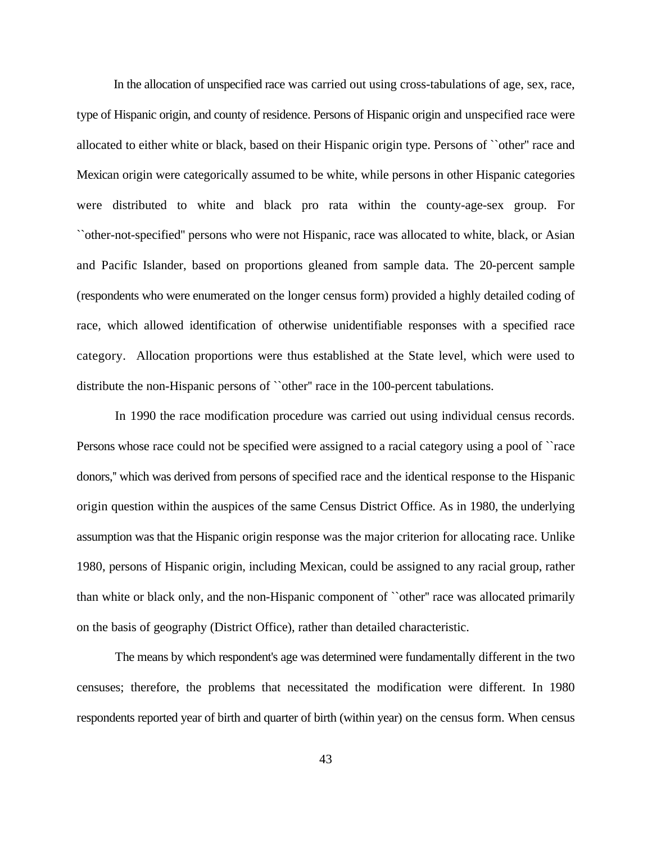In the allocation of unspecified race was carried out using cross-tabulations of age, sex, race, type of Hispanic origin, and county of residence. Persons of Hispanic origin and unspecified race were allocated to either white or black, based on their Hispanic origin type. Persons of ``other'' race and Mexican origin were categorically assumed to be white, while persons in other Hispanic categories were distributed to white and black pro rata within the county-age-sex group. For ``other-not-specified'' persons who were not Hispanic, race was allocated to white, black, or Asian and Pacific Islander, based on proportions gleaned from sample data. The 20-percent sample (respondents who were enumerated on the longer census form) provided a highly detailed coding of race, which allowed identification of otherwise unidentifiable responses with a specified race category. Allocation proportions were thus established at the State level, which were used to distribute the non-Hispanic persons of ``other'' race in the 100-percent tabulations.

In 1990 the race modification procedure was carried out using individual census records. Persons whose race could not be specified were assigned to a racial category using a pool of ``race donors,'' which was derived from persons of specified race and the identical response to the Hispanic origin question within the auspices of the same Census District Office. As in 1980, the underlying assumption was that the Hispanic origin response was the major criterion for allocating race. Unlike 1980, persons of Hispanic origin, including Mexican, could be assigned to any racial group, rather than white or black only, and the non-Hispanic component of ``other'' race was allocated primarily on the basis of geography (District Office), rather than detailed characteristic.

The means by which respondent's age was determined were fundamentally different in the two censuses; therefore, the problems that necessitated the modification were different. In 1980 respondents reported year of birth and quarter of birth (within year) on the census form. When census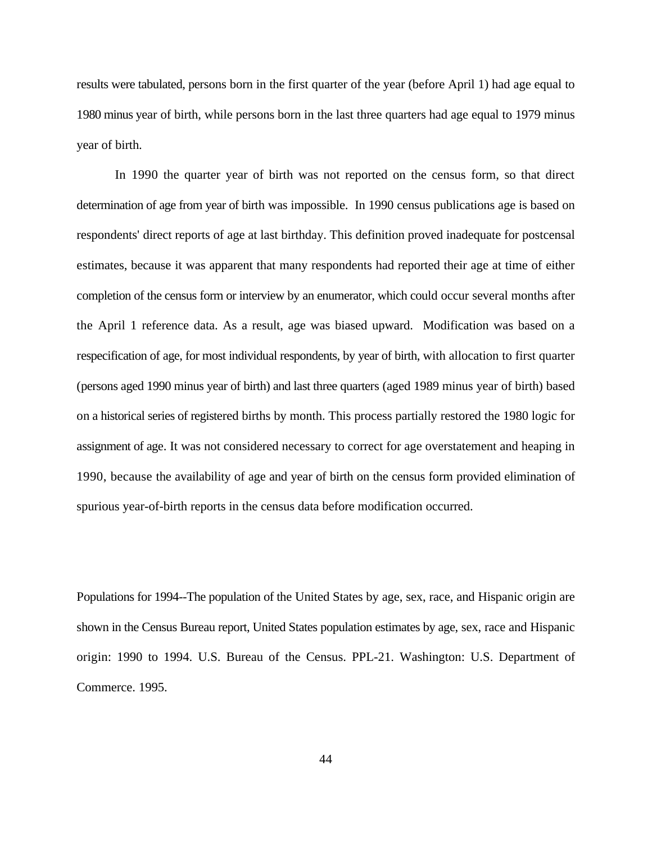results were tabulated, persons born in the first quarter of the year (before April 1) had age equal to 1980 minus year of birth, while persons born in the last three quarters had age equal to 1979 minus year of birth.

In 1990 the quarter year of birth was not reported on the census form, so that direct determination of age from year of birth was impossible. In 1990 census publications age is based on respondents' direct reports of age at last birthday. This definition proved inadequate for postcensal estimates, because it was apparent that many respondents had reported their age at time of either completion of the census form or interview by an enumerator, which could occur several months after the April 1 reference data. As a result, age was biased upward. Modification was based on a respecification of age, for most individual respondents, by year of birth, with allocation to first quarter (persons aged 1990 minus year of birth) and last three quarters (aged 1989 minus year of birth) based on a historical series of registered births by month. This process partially restored the 1980 logic for assignment of age. It was not considered necessary to correct for age overstatement and heaping in 1990, because the availability of age and year of birth on the census form provided elimination of spurious year-of-birth reports in the census data before modification occurred.

Populations for 1994--The population of the United States by age, sex, race, and Hispanic origin are shown in the Census Bureau report, United States population estimates by age, sex, race and Hispanic origin: 1990 to 1994. U.S. Bureau of the Census. PPL-21. Washington: U.S. Department of Commerce. 1995.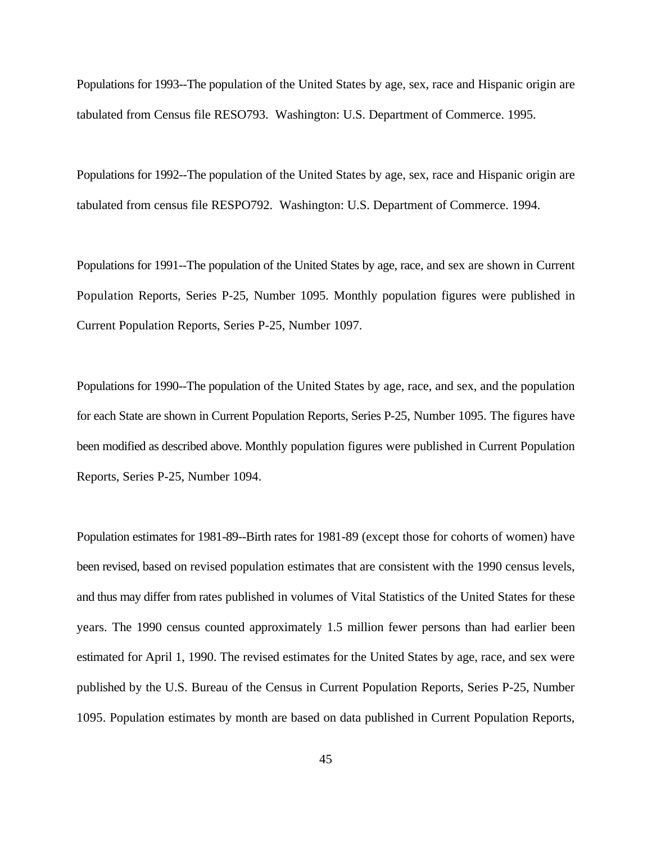Populations for 1993--The population of the United States by age, sex, race and Hispanic origin are tabulated from Census file RESO793. Washington: U.S. Department of Commerce. 1995.

Populations for 1992--The population of the United States by age, sex, race and Hispanic origin are tabulated from census file RESPO792. Washington: U.S. Department of Commerce. 1994.

Populations for 1991--The population of the United States by age, race, and sex are shown in Current Population Reports, Series P-25, Number 1095. Monthly population figures were published in Current Population Reports, Series P-25, Number 1097.

Populations for 1990--The population of the United States by age, race, and sex, and the population for each State are shown in Current Population Reports, Series P-25, Number 1095. The figures have been modified as described above. Monthly population figures were published in Current Population Reports, Series P-25, Number 1094.

Population estimates for 1981-89--Birth rates for 1981-89 (except those for cohorts of women) have been revised, based on revised population estimates that are consistent with the 1990 census levels, and thus may differ from rates published in volumes of Vital Statistics of the United States for these years. The 1990 census counted approximately 1.5 million fewer persons than had earlier been estimated for April 1, 1990. The revised estimates for the United States by age, race, and sex were published by the U.S. Bureau of the Census in Current Population Reports, Series P-25, Number 1095. Population estimates by month are based on data published in Current Population Reports,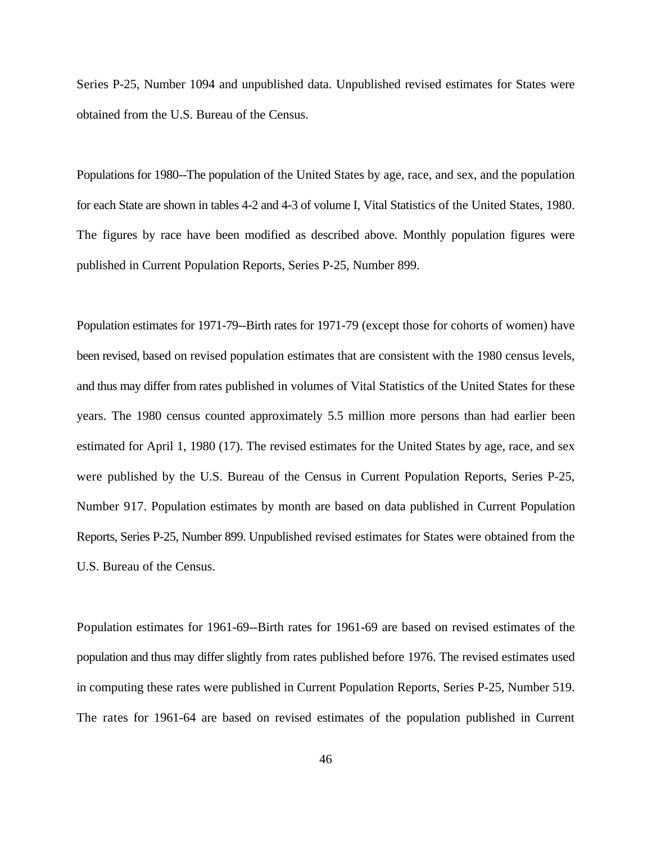Series P-25, Number 1094 and unpublished data. Unpublished revised estimates for States were obtained from the U.S. Bureau of the Census.

Populations for 1980--The population of the United States by age, race, and sex, and the population for each State are shown in tables 4-2 and 4-3 of volume I, Vital Statistics of the United States, 1980. The figures by race have been modified as described above. Monthly population figures were published in Current Population Reports, Series P-25, Number 899.

Population estimates for 1971-79--Birth rates for 1971-79 (except those for cohorts of women) have been revised, based on revised population estimates that are consistent with the 1980 census levels, and thus may differ from rates published in volumes of Vital Statistics of the United States for these years. The 1980 census counted approximately 5.5 million more persons than had earlier been estimated for April 1, 1980 (17). The revised estimates for the United States by age, race, and sex were published by the U.S. Bureau of the Census in Current Population Reports, Series P-25, Number 917. Population estimates by month are based on data published in Current Population Reports, Series P-25, Number 899. Unpublished revised estimates for States were obtained from the U.S. Bureau of the Census.

Population estimates for 1961-69--Birth rates for 1961-69 are based on revised estimates of the population and thus may differ slightly from rates published before 1976. The revised estimates used in computing these rates were published in Current Population Reports, Series P-25, Number 519. The rates for 1961-64 are based on revised estimates of the population published in Current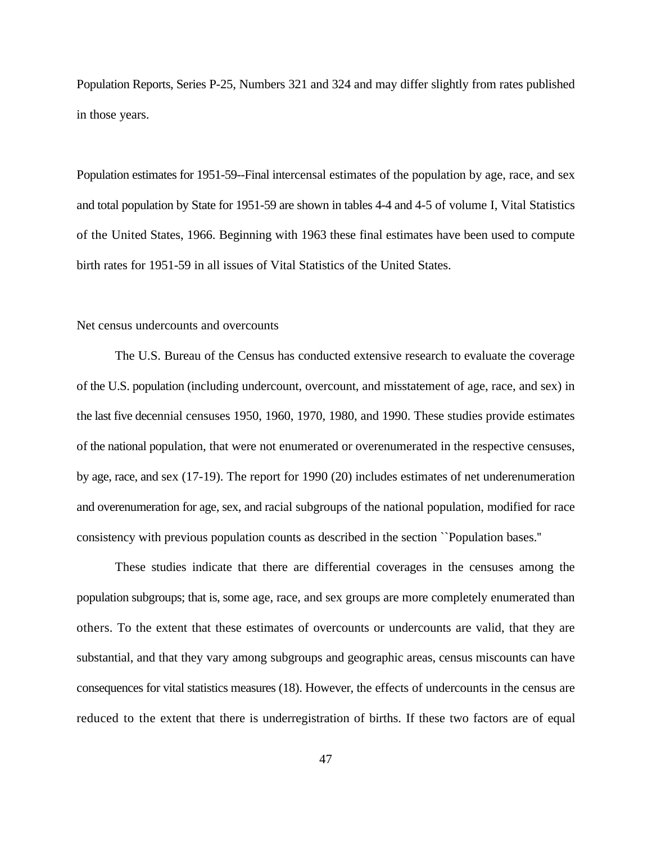Population Reports, Series P-25, Numbers 321 and 324 and may differ slightly from rates published in those years.

Population estimates for 1951-59--Final intercensal estimates of the population by age, race, and sex and total population by State for 1951-59 are shown in tables 4-4 and 4-5 of volume I, Vital Statistics of the United States, 1966. Beginning with 1963 these final estimates have been used to compute birth rates for 1951-59 in all issues of Vital Statistics of the United States.

## Net census undercounts and overcounts

The U.S. Bureau of the Census has conducted extensive research to evaluate the coverage of the U.S. population (including undercount, overcount, and misstatement of age, race, and sex) in the last five decennial censuses 1950, 1960, 1970, 1980, and 1990. These studies provide estimates of the national population, that were not enumerated or overenumerated in the respective censuses, by age, race, and sex (17-19). The report for 1990 (20) includes estimates of net underenumeration and overenumeration for age, sex, and racial subgroups of the national population, modified for race consistency with previous population counts as described in the section ``Population bases.''

These studies indicate that there are differential coverages in the censuses among the population subgroups; that is, some age, race, and sex groups are more completely enumerated than others. To the extent that these estimates of overcounts or undercounts are valid, that they are substantial, and that they vary among subgroups and geographic areas, census miscounts can have consequences for vital statistics measures (18). However, the effects of undercounts in the census are reduced to the extent that there is underregistration of births. If these two factors are of equal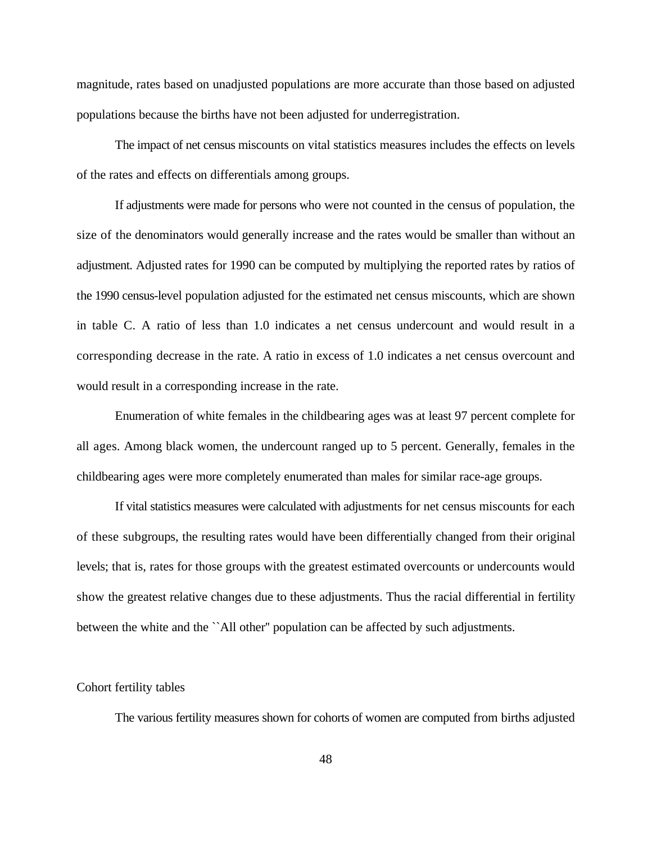magnitude, rates based on unadjusted populations are more accurate than those based on adjusted populations because the births have not been adjusted for underregistration.

The impact of net census miscounts on vital statistics measures includes the effects on levels of the rates and effects on differentials among groups.

If adjustments were made for persons who were not counted in the census of population, the size of the denominators would generally increase and the rates would be smaller than without an adjustment. Adjusted rates for 1990 can be computed by multiplying the reported rates by ratios of the 1990 census-level population adjusted for the estimated net census miscounts, which are shown in table C. A ratio of less than 1.0 indicates a net census undercount and would result in a corresponding decrease in the rate. A ratio in excess of 1.0 indicates a net census overcount and would result in a corresponding increase in the rate.

Enumeration of white females in the childbearing ages was at least 97 percent complete for all ages. Among black women, the undercount ranged up to 5 percent. Generally, females in the childbearing ages were more completely enumerated than males for similar race-age groups.

If vital statistics measures were calculated with adjustments for net census miscounts for each of these subgroups, the resulting rates would have been differentially changed from their original levels; that is, rates for those groups with the greatest estimated overcounts or undercounts would show the greatest relative changes due to these adjustments. Thus the racial differential in fertility between the white and the ``All other'' population can be affected by such adjustments.

# Cohort fertility tables

The various fertility measures shown for cohorts of women are computed from births adjusted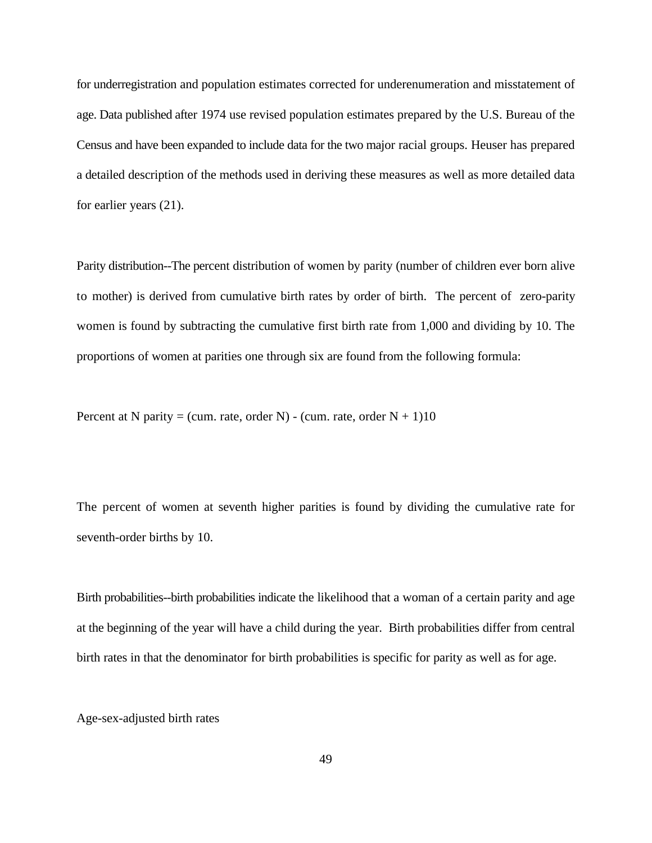for underregistration and population estimates corrected for underenumeration and misstatement of age. Data published after 1974 use revised population estimates prepared by the U.S. Bureau of the Census and have been expanded to include data for the two major racial groups. Heuser has prepared a detailed description of the methods used in deriving these measures as well as more detailed data for earlier years (21).

Parity distribution--The percent distribution of women by parity (number of children ever born alive to mother) is derived from cumulative birth rates by order of birth. The percent of zero-parity women is found by subtracting the cumulative first birth rate from 1,000 and dividing by 10. The proportions of women at parities one through six are found from the following formula:

Percent at N parity = (cum. rate, order N) - (cum. rate, order  $N + 1$ )10

The percent of women at seventh higher parities is found by dividing the cumulative rate for seventh-order births by 10.

Birth probabilities--birth probabilities indicate the likelihood that a woman of a certain parity and age at the beginning of the year will have a child during the year. Birth probabilities differ from central birth rates in that the denominator for birth probabilities is specific for parity as well as for age.

Age-sex-adjusted birth rates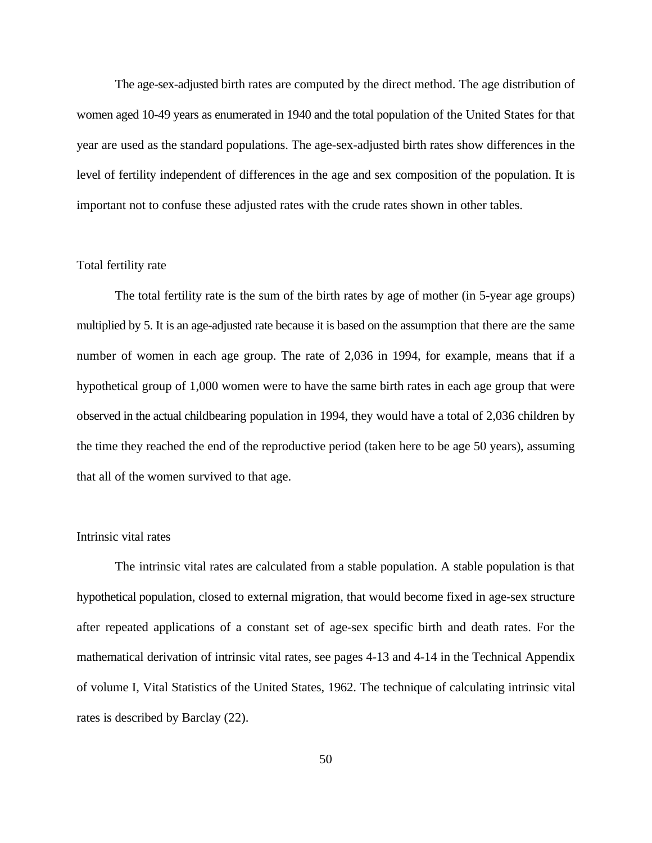The age-sex-adjusted birth rates are computed by the direct method. The age distribution of women aged 10-49 years as enumerated in 1940 and the total population of the United States for that year are used as the standard populations. The age-sex-adjusted birth rates show differences in the level of fertility independent of differences in the age and sex composition of the population. It is important not to confuse these adjusted rates with the crude rates shown in other tables.

# Total fertility rate

The total fertility rate is the sum of the birth rates by age of mother (in 5-year age groups) multiplied by 5. It is an age-adjusted rate because it is based on the assumption that there are the same number of women in each age group. The rate of 2,036 in 1994, for example, means that if a hypothetical group of 1,000 women were to have the same birth rates in each age group that were observed in the actual childbearing population in 1994, they would have a total of 2,036 children by the time they reached the end of the reproductive period (taken here to be age 50 years), assuming that all of the women survived to that age.

# Intrinsic vital rates

The intrinsic vital rates are calculated from a stable population. A stable population is that hypothetical population, closed to external migration, that would become fixed in age-sex structure after repeated applications of a constant set of age-sex specific birth and death rates. For the mathematical derivation of intrinsic vital rates, see pages 4-13 and 4-14 in the Technical Appendix of volume I, Vital Statistics of the United States, 1962. The technique of calculating intrinsic vital rates is described by Barclay (22).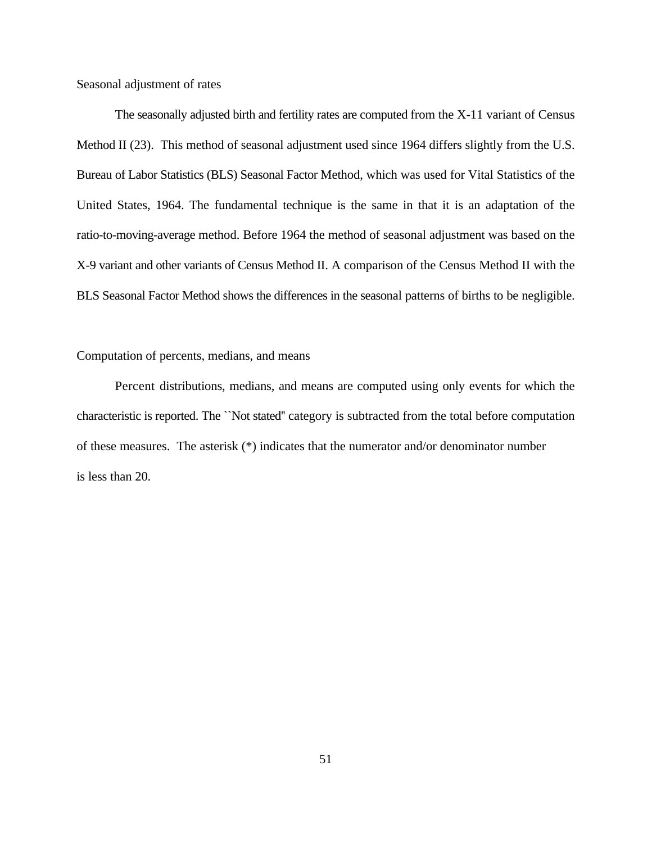Seasonal adjustment of rates

The seasonally adjusted birth and fertility rates are computed from the X-11 variant of Census Method II (23). This method of seasonal adjustment used since 1964 differs slightly from the U.S. Bureau of Labor Statistics (BLS) Seasonal Factor Method, which was used for Vital Statistics of the United States, 1964. The fundamental technique is the same in that it is an adaptation of the ratio-to-moving-average method. Before 1964 the method of seasonal adjustment was based on the X-9 variant and other variants of Census Method II. A comparison of the Census Method II with the BLS Seasonal Factor Method shows the differences in the seasonal patterns of births to be negligible.

## Computation of percents, medians, and means

Percent distributions, medians, and means are computed using only events for which the characteristic is reported. The ``Not stated'' category is subtracted from the total before computation of these measures. The asterisk (\*) indicates that the numerator and/or denominator number is less than 20.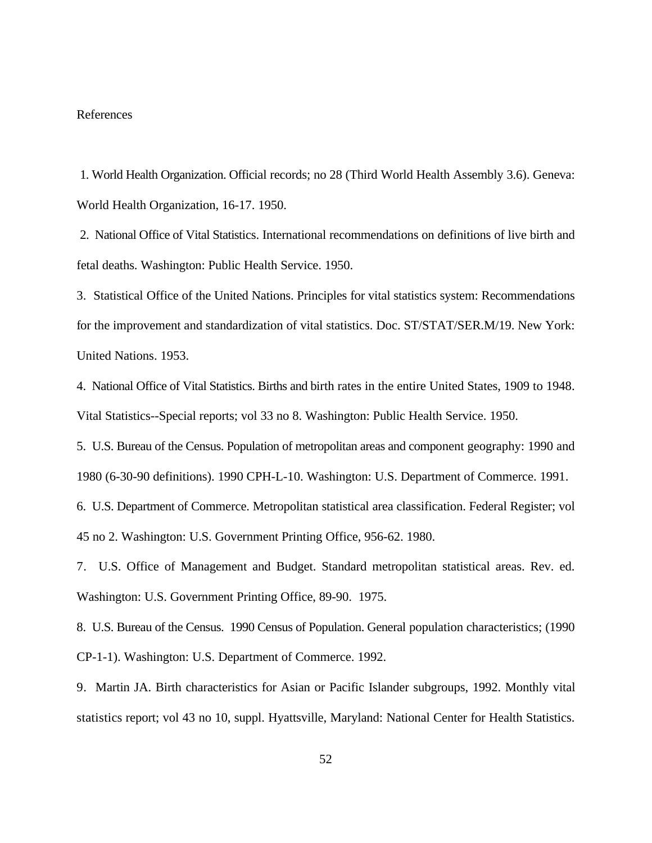#### References

1. World Health Organization. Official records; no 28 (Third World Health Assembly 3.6). Geneva: World Health Organization, 16-17. 1950.

2. National Office of Vital Statistics. International recommendations on definitions of live birth and fetal deaths. Washington: Public Health Service. 1950.

3. Statistical Office of the United Nations. Principles for vital statistics system: Recommendations for the improvement and standardization of vital statistics. Doc. ST/STAT/SER.M/19. New York: United Nations. 1953.

4. National Office of Vital Statistics. Births and birth rates in the entire United States, 1909 to 1948. Vital Statistics--Special reports; vol 33 no 8. Washington: Public Health Service. 1950.

5. U.S. Bureau of the Census. Population of metropolitan areas and component geography: 1990 and 1980 (6-30-90 definitions). 1990 CPH-L-10. Washington: U.S. Department of Commerce. 1991.

6. U.S. Department of Commerce. Metropolitan statistical area classification. Federal Register; vol 45 no 2. Washington: U.S. Government Printing Office, 956-62. 1980.

7. U.S. Office of Management and Budget. Standard metropolitan statistical areas. Rev. ed. Washington: U.S. Government Printing Office, 89-90. 1975.

8. U.S. Bureau of the Census. 1990 Census of Population. General population characteristics; (1990 CP-1-1). Washington: U.S. Department of Commerce. 1992.

9. Martin JA. Birth characteristics for Asian or Pacific Islander subgroups, 1992. Monthly vital statistics report; vol 43 no 10, suppl. Hyattsville, Maryland: National Center for Health Statistics.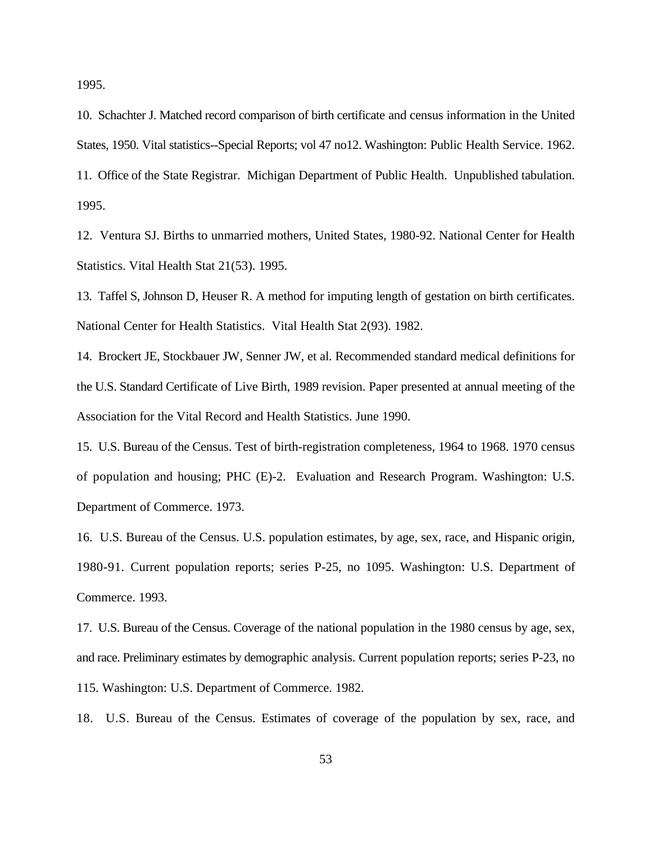1995.

10. Schachter J. Matched record comparison of birth certificate and census information in the United States, 1950. Vital statistics--Special Reports; vol 47 no12. Washington: Public Health Service. 1962. 11. Office of the State Registrar. Michigan Department of Public Health. Unpublished tabulation. 1995.

12. Ventura SJ. Births to unmarried mothers, United States, 1980-92. National Center for Health Statistics. Vital Health Stat 21(53). 1995.

13. Taffel S, Johnson D, Heuser R. A method for imputing length of gestation on birth certificates. National Center for Health Statistics. Vital Health Stat 2(93). 1982.

14. Brockert JE, Stockbauer JW, Senner JW, et al. Recommended standard medical definitions for the U.S. Standard Certificate of Live Birth, 1989 revision. Paper presented at annual meeting of the Association for the Vital Record and Health Statistics. June 1990.

15. U.S. Bureau of the Census. Test of birth-registration completeness, 1964 to 1968. 1970 census of population and housing; PHC (E)-2. Evaluation and Research Program. Washington: U.S. Department of Commerce. 1973.

16. U.S. Bureau of the Census. U.S. population estimates, by age, sex, race, and Hispanic origin, 1980-91. Current population reports; series P-25, no 1095. Washington: U.S. Department of Commerce. 1993.

17. U.S. Bureau of the Census. Coverage of the national population in the 1980 census by age, sex, and race. Preliminary estimates by demographic analysis. Current population reports; series P-23, no 115. Washington: U.S. Department of Commerce. 1982.

18. U.S. Bureau of the Census. Estimates of coverage of the population by sex, race, and